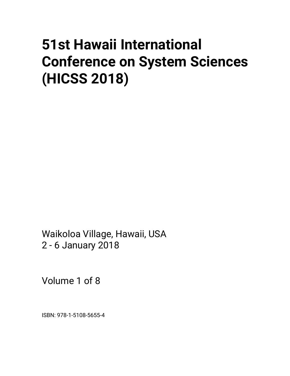# **51st Hawaii International Conference on System Sciences (HICSS 2018)**

Waikoloa Village, Hawaii, USA 2 - 6 January 2018

Volume 1 of 8

ISBN: 978-1-5108-5655-4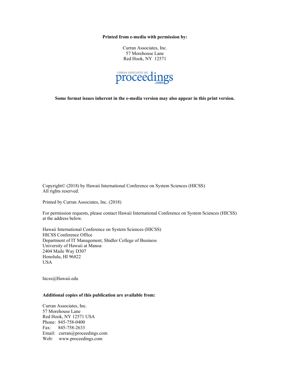**Printed from e-media with permission by:** 

Curran Associates, Inc. 57 Morehouse Lane Red Hook, NY 12571



**Some format issues inherent in the e-media version may also appear in this print version.** 

Copyright© (2018) by Hawaii International Conference on System Sciences (HICSS) All rights reserved.

Printed by Curran Associates, Inc. (2018)

For permission requests, please contact Hawaii International Conference on System Sciences (HICSS) at the address below.

Hawaii International Conference on System Sciences (HICSS) HICSS Conference Office Department of IT Management, Shidler College of Business University of Hawaii at Manoa 2404 Maile Way D307 Honolulu, HI 96822 USA

hicss@Hawaii.edu

#### **Additional copies of this publication are available from:**

Curran Associates, Inc. 57 Morehouse Lane Red Hook, NY 12571 USA Phone: 845-758-0400 Fax: 845-758-2633 Email: curran@proceedings.com Web: www.proceedings.com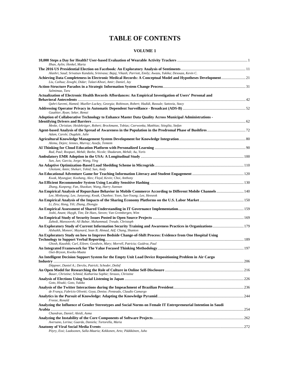# **TABLE OF CONTENTS**

# **VOLUME 1**

| Ilhan, Aylin; Henkel, Maria                                                                                                                                                              |       |
|------------------------------------------------------------------------------------------------------------------------------------------------------------------------------------------|-------|
| Alashri, Saud; Srivatsav Kandala, Srinivasa; Bajaj, Vikash; Parriott, Emily; Awazu, Yukika; Desouza, Kevin C.                                                                            |       |
| Achieving Data Completeness in Electronic Medical Records: A Conceptual Model and Hypotheses Development 21<br>Liu, Caihua; Zowghi, Didar; Talaei-Khoei, Amir; Daniel, Jay               |       |
| Salmimaa, Taru                                                                                                                                                                           |       |
| Actualization of Electronic Health Records Affordances: An Empirical Investigation of Users' Personal and                                                                                |       |
|                                                                                                                                                                                          |       |
| Qahri-Saremi, Hamed; Mueller-Luckey, Georgia; Robinson, Robert; Hadidi, Rassule; Sattovia, Stacy                                                                                         |       |
| Gauthier, Ryan; Seker, Remzi                                                                                                                                                             |       |
| Adoption of Collaborative Technology to Enhance Master Data Quality Across Municipal Administrations -                                                                                   |       |
|                                                                                                                                                                                          |       |
| Meske, Christian; Heidekrüger, Robert; Brockmann, Tobias; Czerwonka, Matthias; Stieglitz, Stefan                                                                                         |       |
| Adam, Carole; Dugdale, Julie                                                                                                                                                             |       |
| Alemu, Dejen; Jennex, Murray; Assefa, Temtem                                                                                                                                             |       |
|                                                                                                                                                                                          |       |
| Rad, Paul; Roopaei, Mehdi; Beebe, Nicole; Shadaram, Mehdi; Au, Yoris                                                                                                                     |       |
| Sun, Jun; Garcia, Jorge; Wang, Ying                                                                                                                                                      |       |
| Gholami, Amin; Shekari, Tohid; Sun, Andy                                                                                                                                                 |       |
| Kwak, Myungjae; Koohang, Alex; Floyd, Kevin; Choi, Anthony                                                                                                                               |       |
|                                                                                                                                                                                          |       |
| Zhang, Kunpeng; Fan, Shaokun; Wang, Harry Jiannan                                                                                                                                        |       |
| An Empirical Analysis of Repurchase Behavior in Mobile Commerce According to Different Mobile Channels 140<br>Lee, Minhyung; Lee, Junyeong; Kwak, Chanhee; Yoon, Sun-Young; Lee, Heeseok |       |
| Li, Ziru; Hong, Yili; Zhang, Zhongju                                                                                                                                                     |       |
|                                                                                                                                                                                          |       |
| Joshi, Anant; Huygh, Tim; De Haes, Steven; Van Grembergen, Wim                                                                                                                           |       |
| Zahedi, Mansooreh; Ali Babar, Muhammad; Treude, Christoph                                                                                                                                |       |
| An Exploratory Study of Current Information Security Training and Awareness Practices in Organizations179                                                                                |       |
| Alshaikh, Moneer; Maynard, Sean B; Ahmad, Atif; Chang, Shanton                                                                                                                           |       |
| An Exploratory Study on how to Improve Bedside Change-of-Shift Process: Evidence from One Hospital Using                                                                                 |       |
| Ghosh, Kaushik; Curl, Eileen; Goodwin, Mary; Morrell, Patricia; Guidroz, Paul                                                                                                            |       |
|                                                                                                                                                                                          |       |
| Osei-Bryson, Kweku-Muata<br>An Intelligent Decision Support System for the Empty Unit Load Device Repositioning Problem in Air Cargo                                                     |       |
|                                                                                                                                                                                          | . 206 |
| Döppner, Daniel A.; Derckx, Patrick; Schoder, Detlef                                                                                                                                     |       |
| An Open Model for Researching the Role of Culture in Online Self-Disclosure<br>Bauer, Christine; Schmid, Katharina Sophie; Strauss, Christine                                            | 216   |
| Goto, Hisaki; Goto, Yukiko                                                                                                                                                               |       |
| de França, Fabrício Olivetti; Goya, Denise; Penteado, Claudio Camargo                                                                                                                    |       |
| Freeze, Ronald                                                                                                                                                                           |       |
| Analyzing the Influence of Gender Stereotypes and Social Norms on Female IT Entrepreneurial Intention in Saudi                                                                           |       |
|                                                                                                                                                                                          |       |
| Chandran, Daniel; Aleidi, Asma                                                                                                                                                           |       |
| Aversano, Lerina; Guarda, Daniela; Tortorella, Maria                                                                                                                                     |       |
|                                                                                                                                                                                          |       |

*Pöyry, Essi; Laaksonen, Salla-Maaria; Kekkonen, Arto; Pääkkönen, Juho*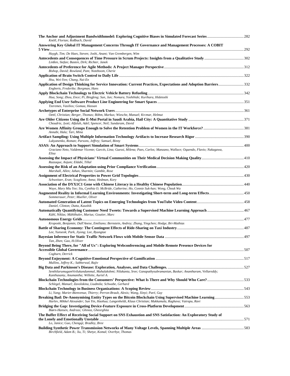| Knöll, Florian; Roßbach, David                                                                                                                   |  |
|--------------------------------------------------------------------------------------------------------------------------------------------------|--|
| Answering Key Global IT Management Concerns Through IT Governance and Management Processes: A COBIT                                              |  |
| Huygh, Tim; De Haes, Steven; Joshi, Anant; Van Grembergen, Wim                                                                                   |  |
| Linßen, Stefan; Basten, Dirk; Richter, Janek                                                                                                     |  |
| Bishop, David; Rowland, Pam; Noteboom, Cherie                                                                                                    |  |
|                                                                                                                                                  |  |
| Hsu, Wei-Yen; Chang, Nai-En<br>Application of Design Thinking for Service Innovation: Current Practices, Expectations and Adoption Barriers332   |  |
| Engberts, Frederike; Borgman, Hans                                                                                                               |  |
| Hua, Song; Zhou, Ence; Pi, Bingfeng; Sun, Jun; Nomura, Yoshihide; Kurihara, Hidetoshi                                                            |  |
| Tzeremes, Vasilios; Gomaa, Hassan                                                                                                                |  |
| Oettl, Christian; Berger, Thomas; Böhm, Markus; Wiesche, Manuel; Krcmar, Helmut                                                                  |  |
| Choudrie, Jyoti; Alfalah, Adel; Spencer, Neil; Sundaram, David                                                                                   |  |
| Annabi, Hala; Tari, Mina                                                                                                                         |  |
| Lukyanenko, Roman; Parsons, Jeffrey; Samuel, Binny                                                                                               |  |
|                                                                                                                                                  |  |
| Graciano Neto, Valdemar Vicente; Garcés, Lina; Guessi, Milena; Paes, Carlos; Manzano, Wallace; Oquendo, Flavio; Nakagawa,<br>Elisa               |  |
| Razzaque, Anjum; Eldabi, Tillal                                                                                                                  |  |
| Marshall, Allen; Jahan, Sharmin; Gamble, Rose                                                                                                    |  |
| Schweitzer, Eran; Scaglione, Anna; Hedman, Kory                                                                                                  |  |
| Waye, Mary Miu Yee; Siu, Cynthia O; McBride, Catherine; Ho, Connie Suk-han; Wong, Cheuk Wa                                                       |  |
|                                                                                                                                                  |  |
| Sommerauer, Peter; Mueller, Oliver                                                                                                               |  |
| Daniel, Clinton; Dutta, Kaushik                                                                                                                  |  |
| Kühl, Niklas; Mühlthaler, Marius; Goutier, Marc                                                                                                  |  |
| Kroposki, Benjamin; Dall'Anese, Emiliano; Bernstein, Andrey; Zhang, Yingchen; Hodge, Bri-Mathias                                                 |  |
|                                                                                                                                                  |  |
| Lee, Yunseok; Park, Jiyong; Lee, Byungtae                                                                                                        |  |
| Tan, Zhen; Gao, H.Oliver                                                                                                                         |  |
| Beyond Being There, for "All of Us": Exploring Webconferencing and Mobile Remote Presence Devices for                                            |  |
| Cogburn, Derrick                                                                                                                                 |  |
| Mullins, Jeffrey K.; Sabherwal, Rajiv                                                                                                            |  |
| SenthilarumugamVeilukandammal, Mahalakshmi; Nilakanta, Sree; Ganapathysubramanian, Baskar; Anantharam, Vellareddy;                               |  |
| Kanthasamy, Anumantha; Willette, Auriel A.<br>Blockchain Technologies from the Consumers' Perspective: What Is There and Why Should Who Care?533 |  |
| Schlegel, Manuel; Zavolokina, Liudmila; Schwabe, Gerhard                                                                                         |  |
| Li, Yang; Marier-Bienvenue, Thierry; Perron-Brault, Alexis; Wang, Xinyi; Paré, Guy                                                               |  |
| Harlev, Mikkel Alexander; Sun Yin, Haohua; Langenheldt, Klaus Christian; Mukkamala, Raghava; Vatrapu, Ravi                                       |  |
| Biørn-Hansen, Andreas; Ghinea, Gheorghita                                                                                                        |  |
| The Buffer Effect of Receiving Social Support on SNS Exhaustion and SNS Satisfaction: An Exploratory Study of                                    |  |
| Lo, Janice; Guo, Chengqi; Bradley, Bree                                                                                                          |  |
| Birchfield, Adam B.; Xu, Ti; Shetye, Komal; Overbye, Thomas                                                                                      |  |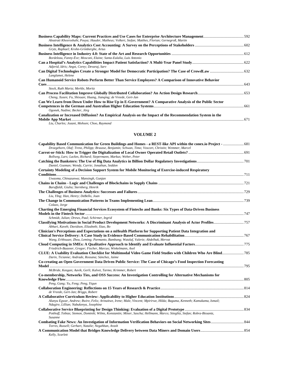| Aleatrati Khosroshahi, Pouya; Hauder, Matheus; Volkert, Stefan; Matthes, Florian; Gernegroß, Martin          |  |
|--------------------------------------------------------------------------------------------------------------|--|
|                                                                                                              |  |
| Grytz, Raphael; Krohn-Grimberghe, Artus                                                                      |  |
|                                                                                                              |  |
| Bordeleau, Fanny-Ève; Mosconi, Elaine; Santa-Eulalia, Luis Antonio                                           |  |
|                                                                                                              |  |
| Adjerid, Idris; Angst, Corey; Devaraj, Sarv                                                                  |  |
|                                                                                                              |  |
| Langlamet, Helene                                                                                            |  |
| Can Humanoid Service Robots Perform Better Than Service Employees? A Comparison of Innovative Behavior       |  |
|                                                                                                              |  |
| Stock, Ruth Maria: Merkle, Moritz                                                                            |  |
|                                                                                                              |  |
| Cheng, Xusen; Fu, Shixuan; Huang, Jianging; de Vreede, Gert-Jan                                              |  |
| Can We Learn from Down Under How to Rise Up in E-Government? A Comparative Analysis of the Public Sector     |  |
|                                                                                                              |  |
| Ogonek, Nadine; Becker, Jörg                                                                                 |  |
| Canalization or Increased Diffusion? An Empirical Analysis on the Impact of the Recommendation System in the |  |
|                                                                                                              |  |
|                                                                                                              |  |

#### *Liu, Charles; Jozani, Mohsen; Choo, Raymond*

| Capability Based Communication for Green Buildings and Homes - a REST-like API within the conex.io Project -  681                                                          |  |
|----------------------------------------------------------------------------------------------------------------------------------------------------------------------------|--|
| Droegehorn, Olaf; Trenz, Philipp; Brausse, Benjamin; Schwan, Timo; Voscort, Christin; Wemmer, Marcel                                                                       |  |
| Bollweg, Lars; Lackes, Richard; Siepermann, Markus; Weber, Peter                                                                                                           |  |
|                                                                                                                                                                            |  |
| Daniel, Gozman; Wendy, Currie; Jonathan, Seddon                                                                                                                            |  |
| Certainty Modeling of a Decision Support System for Mobile Monitoring of Exercise-induced Respiratory                                                                      |  |
|                                                                                                                                                                            |  |
| Uwaoma, Chinazunwa; Mansingh, Gunjan                                                                                                                                       |  |
| Baruffaldi, Giulia; Sternberg, Henrik                                                                                                                                      |  |
|                                                                                                                                                                            |  |
| Liu, YIng; Han, Henry; DeBello, Joan                                                                                                                                       |  |
|                                                                                                                                                                            |  |
| Colazo, Jorge                                                                                                                                                              |  |
| Charting the Emerging Financial Services Ecosystem of Fintechs and Banks: Six Types of Data-Driven Business                                                                |  |
|                                                                                                                                                                            |  |
| Schmidt, Julian; Drews, Paul; Schirmer, Ingrid                                                                                                                             |  |
| Abhari, Kaveh; Davidson, Elizabeth; Xiao, Bo                                                                                                                               |  |
| Clinician's Perceptions and Expectations on a mHealth Platform for Supporting Patient Data Integration and                                                                 |  |
|                                                                                                                                                                            |  |
| Wang, Erhhsuan; Zhou, Leming; Parmanto, Bambang; Watzlaf, Valerie; Abdelhak, Mervat                                                                                        |  |
| Friedrich-Baasner, Gregor; Fischer, Marcus; Winkelmann, Axel                                                                                                               |  |
| <b>CLUE: A Usability Evaluation Checklist for Multimodal Video Game Field Studies with Children Who Are Blind 785</b><br>Darin, Ticianne; Andrade, Rossana; Sánchez, Jaime |  |
| Co-creating an Open Government Data Driven Public Service: The Case of Chicago's Food Inspection Forecasting                                                               |  |
|                                                                                                                                                                            |  |
| McBride, Keegan; Aavik, Gerli; Kalvet, Tarmo; Krimmer, Robert                                                                                                              |  |
| Co-membership, Networks Ties, and OSS Success: An Investigation Controlling for Alternative Mechanisms for                                                                 |  |
|                                                                                                                                                                            |  |
| Peng, Gang; Yu, Feng; Peng, Yiqun                                                                                                                                          |  |
| de Vreede, Gert-Jan; Briggs, Robert                                                                                                                                        |  |
|                                                                                                                                                                            |  |
| Alunyu Egwar, Andrew; Bwire, Felix; Arinaitwe, Irene; Male, Vincent; Mpirirwe, Hilda; Baguma, Kenneth; Kamukama, Ismail;<br>Ndagire, Lillian; Nabukenya, Josephine         |  |
|                                                                                                                                                                            |  |
| Potthoff, Tobias; Siemon, Dominik; Wilms, Konstantin; Möser, Sascha; Hellmann, Marco; Stieglitz, Stefan; Robra-Bissantz,<br>Susanne                                        |  |
|                                                                                                                                                                            |  |
| Torres, Russell; Gerhart, Natalie; Negahban, Arash                                                                                                                         |  |
| Kelly, Scarlett                                                                                                                                                            |  |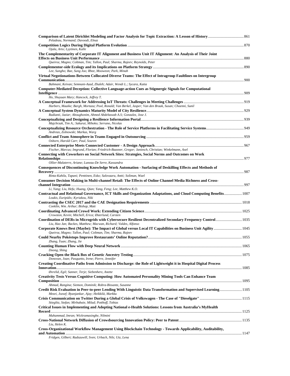| Peladeau, Normand; Davoodi, Elnaz                                                                                                                                                       |  |
|-----------------------------------------------------------------------------------------------------------------------------------------------------------------------------------------|--|
| Ojala, Arto; Lyytinen, Kalle                                                                                                                                                            |  |
| The Complementarity of Corporate IT Alignment and Business Unit IT Alignment: An Analysis of Their Joint<br>Queiroz, Magno; Coltman, Tim; Tallon, Paul; Sharma, Rajeev; Reynolds, Peter |  |
| Lee, Sungho; Bae, Sung Joo; Rhee, Mooweon; Park, Minah                                                                                                                                  |  |
| Virtual Negotionations Between Collocated Diverse Teams: The Effect of Intragroup Faultlines on Intergroup                                                                              |  |
| Bahmani, Keivan; Semnani-Azad, Zhaleh; Adair, Wendi L.; Sycara, Katia                                                                                                                   |  |
| Computer-Mediated Deception: Collective Language-action Cues as Stigmergic Signals for Computational                                                                                    |  |
| Ho, Shuyuan Mary; Hancock, Jeffrey T.                                                                                                                                                   |  |
|                                                                                                                                                                                         |  |
| Harbers, Maaike; Bargh, Mortaza; Pool, Ronald; Van Berkel, Jasper; Van den Braak, Susan; Choenni, Sunil                                                                                 |  |
| Radianti, Jaziar; Aboughonim, Ahmed Abdeltawab A.S; Gonzalez, Jose J.                                                                                                                   |  |
|                                                                                                                                                                                         |  |
| Majchrzak, Tim A.; Sakurai, Mihoko; Serrano, Nicolas                                                                                                                                    |  |
| Andreas, Zolnowski; Markus, Warg                                                                                                                                                        |  |
|                                                                                                                                                                                         |  |
| Osborn, Harold Carr; Paul, Souren                                                                                                                                                       |  |
| Fischer, Marcus; Imgrund, Florian; Friedrich-Baasner, Gregor; Janiesch, Christian; Winkelmann, Axel                                                                                     |  |
| Connecting with Coworkers on Social Network Sites: Strategies, Social Norms and Outcomes on Work                                                                                        |  |
|                                                                                                                                                                                         |  |
| Ollier-Malaterre, Ariane; Luneau-De Serre, Kassandra<br>Consequences of Discontinuing Knowledge Work Automation - Surfacing of Deskilling Effects and Methods of                        |  |
|                                                                                                                                                                                         |  |
| Rinta-Kahila, Tapani; Penttinen, Esko; Salovaara, Antti; Soliman, Wael                                                                                                                  |  |
| Consumer Decision Making in Multi-channel Retail: The Effects of Online Channel Media Richness and Cross-                                                                               |  |
| Li, Yang; Liu, Hefu; Huang, Qian; Yang, Feng; Lee, Matthew K.O.                                                                                                                         |  |
| Contractual and Relational Governance, ICT Skills and Organization Adaptations, and Cloud Computing Benefits 1007<br>Loukis, Euripidis; Kyriakou, Niki                                  |  |
|                                                                                                                                                                                         |  |
| Conklin, Wm. Arthur; Bishop, Matt                                                                                                                                                       |  |
| Crowston, Kevin; Mitchell, Erica; Østerlund, Carsten                                                                                                                                    |  |
| Coordination of DERs in Microgrids with Cybersecure Resilient Decentralized Secondary Frequency Control 1035<br>Liu, Hao Jan; Backes, Matthew; Macwan, Richard; Valdes, Alfonso         |  |
| Queiroz, Magno; Tallon, Paul; Coltman, Tim; Sharma, Rajeev                                                                                                                              |  |
|                                                                                                                                                                                         |  |
| Zhang, Yuan; Zhang, Jie                                                                                                                                                                 |  |
| Doong, Shing                                                                                                                                                                            |  |
|                                                                                                                                                                                         |  |
| Donovan, Joan; Pasquetto, Irene; Pierre, Jennifer<br>Creating Coordinative Paths from Admission to Discharge: the Role of Lightweight it in Hospital Digital Process                    |  |
|                                                                                                                                                                                         |  |
| Øvrelid, Egil; Sanner, Terje; Siebenherz, Anette                                                                                                                                        |  |
| Creativity Tests Versus Cognitive Computing: How Automated Personality Mining Tools Can Enhance Team                                                                                    |  |
| Ahmad, Rangina; Siemon, Dominik; Robra-Bissantz, Susanne                                                                                                                                |  |
| Credit Risk Evaluation in Peer-to-peer Lending With Linguistic Data Transformation and Supervised Learning1105<br>Mezei, Jozsef; Byanjankar, Ajay; Heikkilä, Markku                     |  |
| Stieglitz, Stefan; Mirbabaie, Milad; Potthoff, Tobias                                                                                                                                   |  |
| Critical Issues in Implementing and Adopting National e-Health Solutions: Lessons from Australia's MyHealth                                                                             |  |
| Muhammad, Imran; Wickramasinghe, Nilmini                                                                                                                                                |  |
|                                                                                                                                                                                         |  |
| Liu, Helen K.                                                                                                                                                                           |  |
| Cross-Organizational Workflow Management Using Blockchain Technology - Towards Applicability, Auditability,                                                                             |  |
| an Cillegate Darlowsvill, Corner Haloagh, Mila, Http: I am                                                                                                                              |  |

*Fridgen, Gilbert; Radszuwill, Sven; Urbach, Nils; Utz, Lena*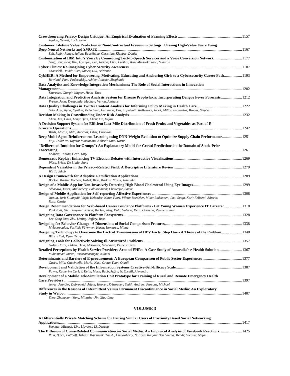| Ayalon, Oshrat; Toch, Eran                                                                                                                                                                           |  |
|------------------------------------------------------------------------------------------------------------------------------------------------------------------------------------------------------|--|
| Customer Lifetime Value Prediction in Non-Contractual Freemium Settings: Chasing High-Value Users Using                                                                                              |  |
|                                                                                                                                                                                                      |  |
| Sifa, Rafet; Runge, Julian; Bauckhage, Christian; Klapper, Daniel                                                                                                                                    |  |
| Customization of IBM Intu's Voice by Connecting Text-to-Speech Services and a Voice Conversion Network 1177<br>Song, Jongyoon; Kim, Hyunjae; Lee, Jaekoo; Choi, Euishin; Kim, Minseok; Yoon, Sungroh |  |
| Croasdell, David; Elste, James; Hill, Adrienne                                                                                                                                                       |  |
| CybHER: A Method for Empowering, Motivating, Educating and Anchoring Girls to a Cybersecurity Career Path 1193<br>Rowland, Pam; Podhradsky, Ashley; Plucker, Shephanie                               |  |
| Data Analytics and Knowledge Integration Mechanisms: The Role of Social Interactions in Innovation                                                                                                   |  |
|                                                                                                                                                                                                      |  |
| Shuradze, Giorgi; Wagner, Heinz-Theo                                                                                                                                                                 |  |
| Data Integration and Predictive Analysis System for Disease Prophylaxis: Incorporating Dengue Fever Forecasts  1212<br>Freeze, John; Erraguntla, Madhav; Verma, Akshans                              |  |
|                                                                                                                                                                                                      |  |
| Soto, Axel; Ryan, Cynthia; Peña Silva, Fernando; Das, Tapajyoti; Wolkowicz, Jacek; Milios, Evangelos; Brooks, Stephen                                                                                |  |
| Chen, Jun; Chen, Long; Qian, Chen; Xie, Kefan                                                                                                                                                        |  |
| A Decision Support System for Efficient Last-Mile Distribution of Fresh Fruits and Vegetables as Part of E-                                                                                          |  |
|                                                                                                                                                                                                      |  |
| Waitz, Martin; Mild, Andreas; Fikar, Christian                                                                                                                                                       |  |
| Deep Multi-Agent Reinforcement Learning using DNN-Weight Evolution to Optimize Supply Chain Performance 1251                                                                                         |  |
| Fuji, Taiki; Ito, Kiyoto; Matsumoto, Kohsei; Yano, Kazuo                                                                                                                                             |  |
| "Deliberated Intuition for Groups": An Explanatory Model for Crowd Predictions in the Domain of Stock-Price                                                                                          |  |
|                                                                                                                                                                                                      |  |
| Endress, Tobias; Gear, Tony                                                                                                                                                                          |  |
| Plüss, Brian; De Liddo, Anna                                                                                                                                                                         |  |
|                                                                                                                                                                                                      |  |
| Wirth, Jakob                                                                                                                                                                                         |  |
|                                                                                                                                                                                                      |  |
| Böckle, Martin; Micheel, Isabel; Bick, Markus; Novak, Jasminko                                                                                                                                       |  |
|                                                                                                                                                                                                      |  |
| Alhasawi, Yaser; Mullachery, Balakrishnan; Chatterjee, Samir                                                                                                                                         |  |
| Jussila, Jari; Sillanpää, Virpi; Helander, Nina; Vuori, Vilma; Boedeker, Mika; Liukkonen, Jari; Suoja, Kari; Felicetti, Alberto;<br>Raso, Cinzia                                                     |  |
| Paukstadt, Ute; Bergener, Katrin; Becker, Jörg; Dahl, Valerie; Denz, Cornelia; Zeisberg, Inga                                                                                                        |  |
|                                                                                                                                                                                                      |  |
| Lee, Sung Une; Zhu, Liming; Jeffery, Ross                                                                                                                                                            |  |
|                                                                                                                                                                                                      |  |
| Mylonopoulou, Vasiliki; Väyrynen, Karin; Isomursu, Minna                                                                                                                                             |  |
| Designing Technology to Overcome the Lack of Transmission of HPV Facts: Step One - A Theory of the Problem 1348<br>Bitar, Hind; Ryan, Terry                                                          |  |
| Avdiji, Hazbi; Elikan, Dina; Missonier, Stéphanie; Pigneur, Yves                                                                                                                                     |  |
| Detailed Perceptions by Health Service Providers Around EHRs: A Case Study of Australia's e-Health Solution  1367<br>Muhammad, Imran; Wickramasinghe, Nilmini                                        |  |
| Gasco, Mila; Cucciniello, Maria; Nasi, Greta; Yuan, Qianli                                                                                                                                           |  |
|                                                                                                                                                                                                      |  |
| Payne, Katherine Carl; J. Keith, Mark; Babb, Jeffry; N. Spruill, Alexandra                                                                                                                           |  |
| Development of a Mobile Tele-Simulation Unit Prototype for Training of Rural and Remote Emergency Health                                                                                             |  |
|                                                                                                                                                                                                      |  |
| Jewer, Jennifer; Dubrowski, Adam; Hoover, Kristopher; Smith, Andrew; Parsons, Michael                                                                                                                |  |
| Differences in the Reasons of Intermittent Versus Permanent Discontinuance in Social Media: An Exploratory                                                                                           |  |
| Zhou, Zhongyun; Yang, Mingzhu; Jin, Xiao-Ling                                                                                                                                                        |  |
|                                                                                                                                                                                                      |  |

| A Differentially Private Matching Scheme for Pairing Similar Users of Proximity Based Social Networking             |  |
|---------------------------------------------------------------------------------------------------------------------|--|
|                                                                                                                     |  |
| Sommer, Michael; Lim, Lipyeow; Li, Depeng                                                                           |  |
| The Diffusion of Crisis-Related Communication on Social Media: An Empirical Analysis of Facebook Reactions 1425     |  |
| Ross, Björn; Potthoff, Tobias; Majchrzak, Tim A.; Chakraborty, Narayan Ranjan; Ben Lazreg, Mehdi; Stieglitz, Stefan |  |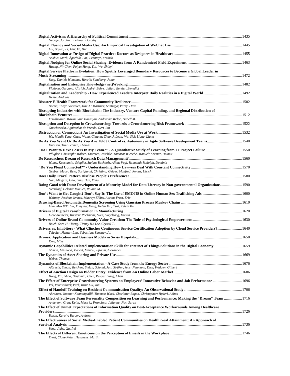| George, Jordana; Leidner, Dorothy                                                                                                                                                     |  |
|---------------------------------------------------------------------------------------------------------------------------------------------------------------------------------------|--|
| Liu, Aoyan; Li, Yan; Ye, Hua                                                                                                                                                          |  |
| Aakhus, Mark; Ågerfalk, Pär; Lennmyr, Fredrik                                                                                                                                         |  |
| Huang, Ni; Chen, Peiyu; Hong, Yili; Wu, Shinyi                                                                                                                                        |  |
| Digital Service Platform Evolution: How Spotify Leveraged Boundary Resources to Become a Global Leader in                                                                             |  |
| Skog, Daniel; Wimelius, Henrik; Sandberg, Johan                                                                                                                                       |  |
|                                                                                                                                                                                       |  |
| Vladova, Gergana; Ullrich, André; Bahrs, Julian; Bender, Benedict                                                                                                                     |  |
| Hesse, Andreas                                                                                                                                                                        |  |
| Norris, Tony; Gonzalez, Jose J.; Martinez, Santiago; Parry, Dave                                                                                                                      |  |
| Disrupting Industries with Blockchain: The Industry, Venture Capital Funding, and Regional Distribution of                                                                            |  |
| Friedlmaier, Maximilian; Tumasjan, Andranik; Welpe, Isabell M.                                                                                                                        |  |
|                                                                                                                                                                                       |  |
| Onuchowska, Agnieszka; de Vreede, Gert-Jan                                                                                                                                            |  |
| Wu, Manli; Yang, Chen; Wang, Chuang; Zhao, J. Leon; Wu, Sisi; Liang, Liang                                                                                                            |  |
| Dreesen, Tim; Schmid, Thomas                                                                                                                                                          |  |
| Pflügler, Christoph; Malzer, Thorsten; Jäschke, Tamara; Wiesche, Manuel; Krcmar, Helmut                                                                                               |  |
|                                                                                                                                                                                       |  |
| Wilms, Konstantin; Stieglitz, Stefan; Buchholz, Alina; Vogl, Raimund; Rudolph, Dominik                                                                                                |  |
| Gruber, Mauro Reto; Sarigianni, Christina; Geiger, Manfred; Remus, Ulrich                                                                                                             |  |
| Gan, Mingxin; Gao, Ling; Han, Yang                                                                                                                                                    |  |
| Doing Good with Data: Development of a Maturity Model for Data Literacy in Non-governmental Organizations  1590                                                                       |  |
| Sternkopf, Helena; Mueller, Roland M.                                                                                                                                                 |  |
| Whitney, Jessica; Jennex, Murray; Elkins, Aaron; Frost, Eric                                                                                                                          |  |
| Lam, Max WY; Liu, Xunying; Meng, Helen ML; Tsoi, Kelvin KF                                                                                                                            |  |
| Liere-Netheler, Kirsten; Packmohr, Sven; Vogelsang, Kristin                                                                                                                           |  |
| Hsieh, Sara H.; Tseng, Timmy H.; Lee, Crystal T.                                                                                                                                      |  |
| Drivers vs. Inhibitors - What Clinches Continuous Service Certification Adoption by Cloud Service Providers? 1640<br>Teigeler, Heiner; Lins, Sebastian; Sunyaev, Ali                  |  |
|                                                                                                                                                                                       |  |
| Krey, Mike<br>Dynamic Capabilities Related Implementation Skills for Internet of Things Solutions in the Digital Economy 1659                                                         |  |
| Ahmad, Mashood; Papert, Marcel; Pflaum, Alexander                                                                                                                                     |  |
| Weber, Thomas                                                                                                                                                                         |  |
|                                                                                                                                                                                       |  |
| Albrecht, Simon; Reichert, Stefan; Schmid, Jan; Strüker, Jens; Neumann, Dirk; Fridgen, Gilbert<br>Hong, Yili; Shao, Benjamin; Chen, Pei-yu; Liang, Chen                               |  |
| Vel, Vetrivadivel; Park, Insu; Liu, Jun                                                                                                                                               |  |
| Abraham, Joanna; Kannampallil, Thomas; Ward, Charlotte; Bogan, Christopher; Hyderi, Abbas                                                                                             |  |
| 1716 The Effect of Software Team Personality Composition on Learning and Performance: Making the "Dream" Team 1716<br>Anderson, Greg; Keith, Mark J.; Francisco, Julianne; Fox, Sarah |  |
| The Effect of Unmet Expectations of Information Quality on Post-Acceptance Workarounds Among Healthcare                                                                               |  |
| Bozan, Karoly; Berger, Andrew                                                                                                                                                         |  |
| The Effectiveness of Social Media-Enabled Patient Communities on Health Goal Attainment: An Approach of                                                                               |  |
| Song, Jiahe; Xu, Pei                                                                                                                                                                  |  |
|                                                                                                                                                                                       |  |
| Ernst, Claus-Peter; Huschens, Martin                                                                                                                                                  |  |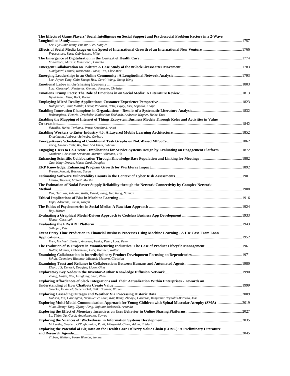| The Effects of Game Players' Social Intelligence on Social Support and Psychosocial Problem Factors in a 2-Wave                                                              |  |
|------------------------------------------------------------------------------------------------------------------------------------------------------------------------------|--|
| Lee, Hye Rim; Jeong, Eui Jun; Lee, Sung Je                                                                                                                                   |  |
| Fraccastoro, Sara; Gabrielsson, Mika                                                                                                                                         |  |
| Mihailescu, Marius; Mihailescu, Daniela                                                                                                                                      |  |
| Lundgaard, Daniel; Razmerita, Liana; Tan, Chee-Wee                                                                                                                           |  |
| Lee, Joyce; Yang, Chin-Sheng; Hsu, Carol; Wang, Jhong-Heng                                                                                                                   |  |
| Lutz, Christoph; Newlands, Gemma; Fieseler, Christian                                                                                                                        |  |
| Hyvärinen, Hissu; Beck, Roman                                                                                                                                                |  |
| Holopainen, Jani; Mattila, Osmo; Parvinen, Petri; Pöyry, Essi; Seppälä, Kaapo                                                                                                |  |
| Reibenspiess, Victoria; Drechsler, Katharina; Eckhardt, Andreas; Wagner, Heinz-Theo                                                                                          |  |
| Enabling the Mapping of Internet of Things Ecosystem Business Models Through Roles and Activities in Value                                                                   |  |
| Ikävalko, Heini; Turkama, Petra; Smedlund, Anssi                                                                                                                             |  |
| Engelmann, Andreas; Schwabe, Gerhard                                                                                                                                         |  |
| Tariq, Umair Ullah; Wu, Hui; Abd Ishak, Suhaimi                                                                                                                              |  |
| 1872 Engaging Users to Co-Create - Implications for Service Systems Design by Evaluating an Engagement Platform  1872<br>Grotherr, Christian; Semmann, Martin; Böhmann, Tilo |  |
| Gao, Ning; Dredze, Mark; Oard, Douglas                                                                                                                                       |  |
| Freeze, Ronald; Bristow, Susan                                                                                                                                               |  |
| Llanso, Thomas; McNeil, Martha                                                                                                                                               |  |
| The Estimation of Nodal Power Supply Reliability through the Network Connectivity by Complex Network                                                                         |  |
| Ren, Hui; Wu, Yuhuan; Watts, David; Jiang, He; Jiang, Nannan                                                                                                                 |  |
| Yapo, Adrienne; Weiss, Joseph                                                                                                                                                |  |
| Bay, Morten                                                                                                                                                                  |  |
| Rieger, Christoph                                                                                                                                                            |  |
| Salhofer, Peter                                                                                                                                                              |  |
| Event Entry Time Prediction in Financial Business Processes Using Machine Learning - A Use Case From Loan                                                                    |  |
| Frey, Michael; Emrich, Andreas; Fettke, Peter; Loos, Peter                                                                                                                   |  |
| Holler, Manuel; Uebernickel, Falk; Brenner, Walter                                                                                                                           |  |
| Schuh, Guenther; Riesener, Michael; Mattern, Christian                                                                                                                       |  |
| Elson, J S; Derrick, Douglas; Ligon, Gina                                                                                                                                    |  |
| Zhang, Guijie; Wei, Fangfang; Shao, Zhen                                                                                                                                     |  |
| Exploring Affordances of Slack Integrations and Their Actualization Within Enterprises - Towards an<br>Stoeckli, Emanuel; Uebernickel, Falk; Brenner, Walter                 |  |
|                                                                                                                                                                              |  |
| Dobson, Ian; Carrington, Nichelle'Le; Zhou, Kai; Wang, Zhaoyu; Carreras, Benjamin; Reynolds-Barredo, Jose                                                                    |  |
| Exploring Multi-Modal Communication Approach for Young Children with Spinal Muscular Atrophy (SMA) 2019<br>Miao, Sheng; Tang, Ziying; Feng, Jinjuan; Jozkowski, Amanda       |  |
| Lu, Yixin; Ou, Carol; Angelopoulos, Spyros                                                                                                                                   |  |
| McCarthy, Stephen; O'Raghallaigh, Paidi; Fitzgerald, Ciara; Adam, Frédéric                                                                                                   |  |
| Exploring the Potential of Big Data on the Health Care Delivery Value Chain (CDVC): A Preliminary Literature                                                                 |  |
| Tibben, William; Fosso Wamba, Samuel                                                                                                                                         |  |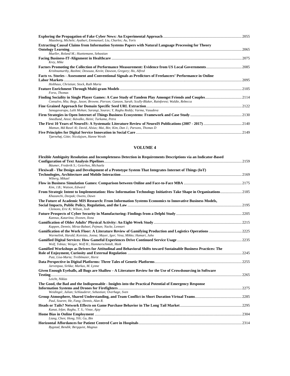| Maasberg, Michele; Ayaburi, Emmanuel; Liu, Charles; Au, Yoris                                               |       |
|-------------------------------------------------------------------------------------------------------------|-------|
| <b>Extracting Causal Claims from Information Systems Papers with Natural Language Processing for Theory</b> |       |
|                                                                                                             | .2065 |
| Mueller, Roland M.: Huettemann, Sebastian                                                                   |       |
| Krey, Mike                                                                                                  | .2075 |
| Krishnamurthy, Rashmi; Desouza, Kevin; Dawson, Gregory; Ho, Alfred                                          |       |
| Facts vs. Stories - Assessment and Conventional Signals as Predictors of Freelancers' Performance in Online |       |
|                                                                                                             | .2095 |
| Holthaus, Christian; Stock, Ruth Maria                                                                      |       |
|                                                                                                             | .2105 |
| Forss, Thomas                                                                                               |       |
| Consalvo, Mia; Begy, Jason; Browne, Pierson; Ganzon, Sarah; Scully-Blaker, Rainforest; Waldie, Rebecca      |       |
| Sanagavarapu, Lalit Mohan; Sarangi, Sourav; Y, Raghu Reddy; Varma, Vasudeva                                 | .2122 |
| Smedlund, Anssi; Ikävalko, Heini; Turkama, Petra                                                            |       |
| Mamun, Md Rasel Al; David, Alsius; Mai, Bin; Kim, Dan J.; Parsons, Thomas D                                 |       |
|                                                                                                             |       |

| Tjørnehøj, Gitte; Nicolajsen, Hanne Westh |  |
|-------------------------------------------|--|

| Flexible Ambiguity Resolution and Incompleteness Detection in Requirements Descriptions via an Indicator-Based                                         |       |
|--------------------------------------------------------------------------------------------------------------------------------------------------------|-------|
| Bäumer, Frederik S.; Geierhos, Michaela                                                                                                                | .2159 |
| Flexiwall - The Design and Development of a Prototype System That Integrates Internet of Things (IoT)                                                  |       |
| Wiberg, Mikael                                                                                                                                         |       |
| Kim, J.B.; Watson, Edward                                                                                                                              |       |
| From Strategic Intent to Implementation: How Information Technology Initiatives Take Shape in Organizations2185<br>Khazanchi, Deepak; Owens, Dawn      |       |
| The Future of Academic MIS Research: From Information Systems Economics to Innovative Business Models,<br>Clemons, Eric K; Wilson, Josh                |       |
| Kannus, Katariina; Ilvonen, Ilona                                                                                                                      |       |
| Kappen, Dennis; Mirza-Babaei, Pejman; Nacke, Lennart                                                                                                   |       |
| Warmelink, Harald; Koivisto, Jonna; Mayer, Igor; Vesa, Mikko; Hamari, Juho                                                                             |       |
| Wolf, Tobias; Weiger, Welf H.; Hammerschmidt, Maik                                                                                                     |       |
| Gamified Workshops as Drivers for Attitudinal and Behavioral Shifts toward Sustainable Business Practices: The<br>Putz, Lisa-Maria; Treiblmaier, Horst |       |
|                                                                                                                                                        |       |
| Jarvenpaa, Sirkka; Markus, M. Lynne                                                                                                                    |       |
| Given Enough Eyeballs, all Bugs are Shallow - A Literature Review for the Use of Crowdsourcing in Software                                             |       |
| Leicht, Niklas                                                                                                                                         |       |
| The Good, the Bad and the Indispensable - Insights into the Practical Potential of Emergency Response                                                  |       |
| Weidinger, Julian; Schlauderer, Sebastian; Overhage, Sven                                                                                              |       |
| Paul, Souren; He, Fang; Dennis, Alan R.                                                                                                                |       |
| Kanat, Irfan; Raghu, T. S.; Vinze, Ajay                                                                                                                |       |
|                                                                                                                                                        |       |
| Liang, Chen; Hong, Yili; Gu, Bin                                                                                                                       |       |
| Bygstad, Bendik; Bergquist, Magnus                                                                                                                     |       |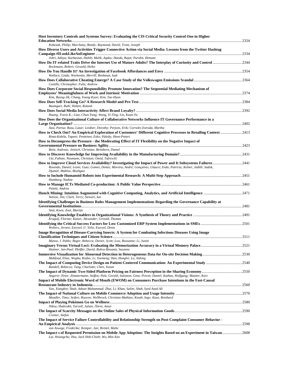| Host Inventory Controls and Systems Survey: Evaluating the CIS Critical Security Control One in Higher                                                                                                                                                                  |  |
|-------------------------------------------------------------------------------------------------------------------------------------------------------------------------------------------------------------------------------------------------------------------------|--|
| Kobezak, Philip; Marchany, Randy; Raymond, David; Tront, Joseph                                                                                                                                                                                                         |  |
| How Diverse Users and Activities Trigger Connective Action via Social Media: Lessons from the Twitter Hashtag                                                                                                                                                           |  |
| Johri, Aditya; Karbasian, Habib; Malik, Aqdas; Handa, Rajat; Purohit, Hemant                                                                                                                                                                                            |  |
| Rockmann, Robert; Gewald, Heiko                                                                                                                                                                                                                                         |  |
| Wallace, Linda; Warkentin, Merrill; Benbasat, Izak                                                                                                                                                                                                                      |  |
| Castille, Christopher; Fultz, Andrew                                                                                                                                                                                                                                    |  |
| How Does Corporate Social Responsibility Promote Innovation? The Sequential Mediating Mechanism of<br>Kim, Byung-Jik; Chang, Young Kyun; Kim, Tae-Hyun                                                                                                                  |  |
|                                                                                                                                                                                                                                                                         |  |
| Baumgart, Ruth; Holten, Roland                                                                                                                                                                                                                                          |  |
| Huang, Travis K.; Liao, Chun-Yung; Wang, Yi-Ting; Lin, Kuan-Yu                                                                                                                                                                                                          |  |
| How Does the Organizational Culture of Collaborative Networks Influence IT Governance Performance in a                                                                                                                                                                  |  |
| Aasi, Parisa; Rusu, Lazar; Leidner, Dorothy; Perjons, Erik; Corrales Estrada, Martha<br>How to Check Out? An Empirical Exploration of Customers' Different Cognitive Processes in Retailing Context 2413<br>Rinta-Kahila, Tapani; Penttinen, Esko; Pääsky, Hans-Petteri |  |
| How to Decompress the Pressure - the Moderating Effect of IT Flexibility on the Negative Impact of                                                                                                                                                                      |  |
| Reitz, Andreas; Jentsch, Christian; Beimborn, Daniel                                                                                                                                                                                                                    |  |
| Utz, Fabian; Neumann, Christian; Omid, Tafreschi                                                                                                                                                                                                                        |  |
| Rosendo, Daniel; Leoni, Guto; Gomes, Demis; Moreira, André; Gonçalves, Glauco; Endo, Patricia; Kelner, Judith; Sadok,<br>Djamel; Mahloo, Mozhgan                                                                                                                        |  |
| Homburg, Nadine                                                                                                                                                                                                                                                         |  |
| Paletti, Andrea                                                                                                                                                                                                                                                         |  |
| Nelson, Jim; Clark, Terry; Stewart, Ian                                                                                                                                                                                                                                 |  |
| Identifying Challenges in Business Rules Management Implementations Regarding the Governance Capability at                                                                                                                                                              |  |
| Smit, Koen; Zoet, Martijn                                                                                                                                                                                                                                               |  |
| Kragulj, Florian; Kaiser, Alexander; Grisold, Thomas                                                                                                                                                                                                                    |  |
| Wolters, Jeroen; Eseryel, U. Yeliz; Eseryel, Deniz                                                                                                                                                                                                                      |  |
| Image Recognition of Disease-Carrying Insects: A System for Combating Infectious Diseases Using Image                                                                                                                                                                   |  |
| Munoz, J. Pablo; Boger, Rebecca; Dexter, Scott; Low, Russanne; Li, Justin                                                                                                                                                                                               |  |
| Huttner, Jan-Paul; Pfeiffer, David; Robra-Bissantz, Susanne                                                                                                                                                                                                             |  |
| Mahfoud, Elias; Wegba, Kodzo; Li, Yuemeng; Han, Honglei; Lu, Aidong                                                                                                                                                                                                     |  |
| Randell, Rebecca; Tang, Charlotte; Chen, Yunan                                                                                                                                                                                                                          |  |
| Angerer, Peter; Zimmermann, Steffen; Pale, Gerald; Salomon, Gina; Provin, Daniel; Kathan, Wolfgang; Matzler, Kurt                                                                                                                                                       |  |
| Impact of Mobile Electronic Word of Mouth (EWOM) on Consumers Purchase Intentions in the Fast-Causal                                                                                                                                                                    |  |
| Yan, Xiangbin; Shah, Adnan Muhammad; Zhai, Li; Khan, Salim; Shah, Syed Asad Ali                                                                                                                                                                                         |  |
| Mandler, Timo; Seifert, Rouven; Wellbrock, Christian-Mathias; Knuth, Ingo; Kunz, Reinhard                                                                                                                                                                               |  |
|                                                                                                                                                                                                                                                                         |  |
| Nikou, Shahrokh; Tarvoll, Julian; Öörni, Anssi                                                                                                                                                                                                                          |  |
| Cremer, Stefan                                                                                                                                                                                                                                                          |  |
| The Impact of Service Failure Controllability and Relationship Strength on Post-Complaint Consumer Behavior -<br>von Aswege, Frederike; Kemper, Jan; Brettel, Malte                                                                                                     |  |
| The Impact s of Requested Permission on Mobile App Adoption: The Insights Based on an Experiment in Taiwan2608<br>Lai, Hsiangchu; Hsu, Jack Shih-Chieh; Wu, Min-Xun                                                                                                     |  |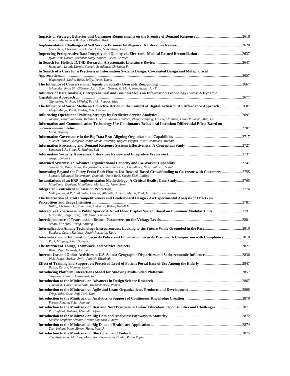| Anwar, Muhammad Bashar; O'Malley, Mark                                                                                                                                                                  |  |
|---------------------------------------------------------------------------------------------------------------------------------------------------------------------------------------------------------|--|
| Lennerholt, Christian; van Laere, Joeri; Söderström, Eva                                                                                                                                                |  |
| Ryan, Jim; Doster, Barbara; Daily, Sandra; Lewis, Carmen                                                                                                                                                |  |
|                                                                                                                                                                                                         |  |
| Ramadani, Luthfi; Kurnia, Sherah; Breidbach, Christoph F.<br>In Search of a Cure for a Psychosis in Information Systems Design: Co-created Design and Metaphorical                                      |  |
|                                                                                                                                                                                                         |  |
| Waguespack, Leslie; Babb, Jeffry; Yates, David                                                                                                                                                          |  |
| Schuetzler, Ryan M.; Giboney, Justin Scott; Grimes, G. Mark; Nunamaker, Jay F.                                                                                                                          |  |
| Influence of Data Analysis, Entrepreneurial and Business Skills on Information Technology Firms: A Dynamic                                                                                              |  |
| Giannakos, Michail; Mikalef, Patrick; Pappas, Ilias                                                                                                                                                     |  |
|                                                                                                                                                                                                         |  |
| Ahuja, Manju; Patel, Pankaj; Suh, Ayoung                                                                                                                                                                |  |
| Jackson, Lisa; Stoneman, Melanie-Jane; Callaghan, Heather; Zhang, Hanjing; Latsou, Christina; Dunnett, Sarah; Mao, Lei                                                                                  |  |
| Information and Communication Technology Use Continuance Behavioral Intention: Differential Effect Based on                                                                                             |  |
|                                                                                                                                                                                                         |  |
| Kaba, Bangaly                                                                                                                                                                                           |  |
| Mikalef, Patrick; Krogstie, John; van de Wetering, Rogier; Pappas, Ilias; Giannakos, Michail                                                                                                            |  |
| Sangeeth L.R., Silpa; K. Mathew, Saji                                                                                                                                                                   |  |
|                                                                                                                                                                                                         |  |
| Jaeger, Lennart                                                                                                                                                                                         |  |
| Somerville, Mary; Anita, Mirijamdotter; Christine, Bruce; Chaudhary, Niraj; Salavati, Sadaf                                                                                                             |  |
| Innovating Bevond the Fuzzy Front End: How to Use Reward-Based Crowdfunding to Co-create with Customers 2755                                                                                            |  |
| Lipusch, Nikolaus; Dellermann, Dominik; Oeste-Reiß, Sarah; Ebel, Philipp                                                                                                                                |  |
| Mihailescu, Daniela; Mihailescu, Marius; Carlsson, Sven                                                                                                                                                 |  |
|                                                                                                                                                                                                         |  |
| Meliopoulos, A P; Cokkinides, George; Albinali, Hussain; Myrda, Paul; Farantatos, Evangelos<br>The Interaction of Trait Competitiveness and Leaderboard Design - An Experimental Analysis of Effects on |  |
|                                                                                                                                                                                                         |  |
| Höllig, Christoph E.; Tumasjan, Andranik; Welpe, Isabell M.                                                                                                                                             |  |
| D. Camba, Jorge; Feng, Jeff; Kwon, EunSook                                                                                                                                                              |  |
|                                                                                                                                                                                                         |  |
| Athari, Mir Hadi; Wang, Zhifang                                                                                                                                                                         |  |
| Bandera, Cesar; Keshtkar, Fazel; Passerini, Katia                                                                                                                                                       |  |
| Internalization of Information Security Policy and Information Security Practice: A Comparison with Compliance 2818<br>Park, Minjung; Chai, Sangmi                                                      |  |
|                                                                                                                                                                                                         |  |
| Wang, Ziye; Kennedy, Deanna                                                                                                                                                                             |  |
| Pick, James; Sarkar, Avijit; Parrish, Elizabeth                                                                                                                                                         |  |
|                                                                                                                                                                                                         |  |
| Bozan, Karoly; Mooney, David                                                                                                                                                                            |  |
| Staykova, Kalina; Damsgaard, Jan                                                                                                                                                                        |  |
| Tuunanen, Tuure; Baskerville, Richard; Beck, Roman                                                                                                                                                      |  |
|                                                                                                                                                                                                         |  |
| Tripp, John; Saltz, Jeff; Turk, Dan                                                                                                                                                                     |  |
| Freeze, Ronald; Syler, Rhonda                                                                                                                                                                           |  |
| Raisinghani, Mahesh; Idemudia, Efosa                                                                                                                                                                    |  |
|                                                                                                                                                                                                         |  |
| Kaisler, Stephen; Armour, Frank; Espinosa, Alberto                                                                                                                                                      |  |
| Tsoi, Kelvin; Poon, Simon; Hung, Patrick                                                                                                                                                                |  |
| Themistocleous, Marinos; Morabito, Vincenzo; de Cunha, Paulo Rupino                                                                                                                                     |  |
|                                                                                                                                                                                                         |  |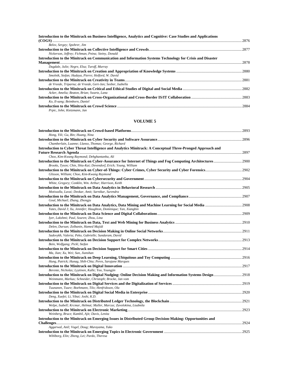| Introduction to the Minitrack on Business Intelligence, Analytics and Cognitive: Case Studies and Applications |        |
|----------------------------------------------------------------------------------------------------------------|--------|
|                                                                                                                | 2876   |
| Belov, Sergey; Spohrer, Jim                                                                                    |        |
| Nickerson, Jeffrey; Fichman, Pnina; Steiny, Donald                                                             |        |
| Introduction to the Minitrack on Communication and Information Systems Technology for Crisis and Disaster      |        |
|                                                                                                                | . 2878 |
| Dugdale, Julie; Negre, Elsa; Turoff, Murray                                                                    |        |
| Smolnik, Stefan; Hadaya, Pierre; Holford, W. David                                                             |        |
|                                                                                                                |        |
| de Vreede, Triparna; de Vreede, Gert-Jan; Seeber, Isabella                                                     |        |
|                                                                                                                |        |
| Acker, Amelia: Beaton, Brian: Swartz, Lana                                                                     |        |
|                                                                                                                |        |
| Ko, Il-sang; Beimborn, Daniel                                                                                  |        |
|                                                                                                                | 2884   |
| Prpic, John; Kietzmann, Jan                                                                                    |        |

| Hong, Yili; Gu, Bin; Huang, Nina                                                                                                                                         |  |
|--------------------------------------------------------------------------------------------------------------------------------------------------------------------------|--|
| Chamberlain, Luanne; Llanso, Thomas; George, Richard                                                                                                                     |  |
| Introduction to Cyber Threat Intelligence and Analytics Minitrack: A Conceptual Three-Pronged Approach and                                                               |  |
|                                                                                                                                                                          |  |
| Choo, Kim-Kwang Raymond; Dehghantanha, Ali                                                                                                                               |  |
| Brooks, Tyson; Chin, Shiu-Kai; Devendorf, Erich; Young, William                                                                                                          |  |
| Glisson, William; Choo, Kim-Kwang Raymond                                                                                                                                |  |
| White, Gregory; Conklin, Wm. Arthur; Harrison, Keith                                                                                                                     |  |
| Motiwalla, Luvai; Deokar, Amit; Sarnikar, Surendra                                                                                                                       |  |
| Goul, Michael; Zhang, Zhongju                                                                                                                                            |  |
| Yates, David J; Xu, Jennifer; Haughton, Dominique; Yan, Xiangbin                                                                                                         |  |
| Iyer, Lakshmi; Paul, Souren; Zhou, Lina                                                                                                                                  |  |
| Delen, Dursun; Zolbanin, Hamed Majidi                                                                                                                                    |  |
| Sadovykh, Valeria; Peko, Gabrielle; Sundaram, David                                                                                                                      |  |
| Bein, Wolfgang; Pickl, Stefan                                                                                                                                            |  |
| Ma, Jian; Xu, Wei; Sun, Jianshan                                                                                                                                         |  |
| Hung, Patrick; Hunag, Shih-Chia; Peres, Sarajane Marques                                                                                                                 |  |
| Berente, Nicholas; Lyytinen, Kalle; Yoo, Youngjin                                                                                                                        |  |
| Introduction to the Minitrack on Digital Nudging: Online Decision Making and Information Systems Design  2918<br>Weinmann, Markus; Schneider, Christoph; Brocke, Jan vom |  |
| Tuunanen, Tuure; Boehmann, Tilo; Henfridsson, Ola                                                                                                                        |  |
| Deng, Xuefei; Li, Yibai; Joshi, K.D.                                                                                                                                     |  |
| Welpe, Isabell; Krcmar, Helmut; Muller, Marcus; Zavolokina, Liudmila                                                                                                     |  |
| Weinberg, Bruce; Kambil, Ajit; Davis, Lenita                                                                                                                             |  |
| Introduction to the Minitrack on Emerging Issues in Distributed Group Decision-Making: Opportunities and                                                                 |  |
| Aggarwal, Anil; Vogel, Doug; Murayama, Yuko                                                                                                                              |  |
| Wihlborg, Elin; Zheng, Lei; Pardo, Theresa                                                                                                                               |  |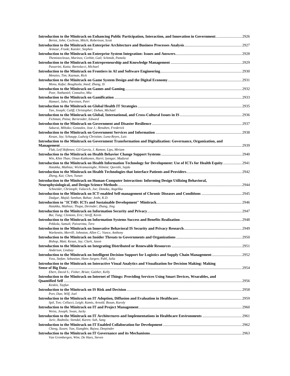| Introduction to the Minitrack on Enhancing Public Participation, Interaction, and Innovation in Government2926                                                               |  |
|------------------------------------------------------------------------------------------------------------------------------------------------------------------------------|--|
| Bertot, John; Cochran, Mitch; Robertson, Scott                                                                                                                               |  |
| Armour, Frank; Kaisler, Stephen                                                                                                                                              |  |
| Themistocleous, Marinos; Corbitt, Gail; Schmidt, Pamela                                                                                                                      |  |
| Passerini, Katia; Bartolacci, Michael                                                                                                                                        |  |
| Menzies, Tim; Kazman, Rick                                                                                                                                                   |  |
| Monu, Kafui; Boughzala, Imed; Zhang, Xi                                                                                                                                      |  |
| Poor, Nathaniel; Consalvo, Mia                                                                                                                                               |  |
| Hamari, Juho; Parvinen, Petri                                                                                                                                                |  |
|                                                                                                                                                                              |  |
| Tan, Joseph; Califf, Christopher; Dohan, Michael                                                                                                                             |  |
| Fichman, Pnina; Bernroider, Edward                                                                                                                                           |  |
| Sakurai, Mihoko; Gonzalez, Jose J.; Benaben, Frederick                                                                                                                       |  |
|                                                                                                                                                                              |  |
| Kesan, Jay; Schaupp, Ludwig Christian; Luna-Reyes, Luis<br>Introduction to the Minitrack on Government Transformation and Digitalization: Governance, Organization, and      |  |
|                                                                                                                                                                              |  |
| Flak, Leif Skiftenes; Gil-Garcia, J. Ramon; Lips, Miriam                                                                                                                     |  |
| Win, Khin Than; Oinas-Kukkonen, Harri; Iyengar, Madurai<br>Introduction to the Minitrack on Health Information Technology for Development: Use of ICTs for Health Equity2941 |  |
| Hatakka, Mathias; Wickramasinghe, Nilmini; Qureshi, Sajda                                                                                                                    |  |
| Zheng, Kai; Chen, Yunan                                                                                                                                                      |  |
| Introduction to the Minitrack on Human-Computer Interaction: Informing Design Utilizing Behavioral,                                                                          |  |
| Schneider, Christoph; Valacich, Joe; Dimoka, Angelika                                                                                                                        |  |
| Dadgar, Majid; Samhan, Bahae; Joshi, K.D.                                                                                                                                    |  |
| Hatakka, Mathias; Thapa, Devinder; Zhang, Jing                                                                                                                               |  |
| Bui, Tung; Clemons, Eric; Streff, Kevin                                                                                                                                      |  |
| Pekkola, Samuli; Paivarinta, Tero                                                                                                                                            |  |
|                                                                                                                                                                              |  |
| Warkentin, Merrill; Johnston, Allen C.; Vance, Anthony                                                                                                                       |  |
| Bishop, Matt; Kesan, Jay; Clark, Jason                                                                                                                                       |  |
| Anderson, Lindsay                                                                                                                                                            |  |
| Voss, Stefan; Sebastian, Hans-Jurgen; Pahl, Julia                                                                                                                            |  |
| Introduction to the Minitrack on Interactive Visual Analytics and Visualization for Decision Making: Making                                                                  |  |
| Ebert, David S.; Fisher, Brian; Gaither, Kelly                                                                                                                               |  |
| Introduction to the Minitrack on Internet of Things: Providing Services Using Smart Devices, Wearables, and                                                                  |  |
| Keskin, Tayfun                                                                                                                                                               |  |
| Port, Dan; Wilf, Joel                                                                                                                                                        |  |
| Spil, Ton; Cellucci, Leigh; Kamis, Arnold; Bozan, Karoly                                                                                                                     |  |
| Weiss, Joseph; Swan, Jacky                                                                                                                                                   |  |
| Juric, Radmila; Stendal, Karen; Suh, Sang                                                                                                                                    |  |
| Cheng, Xusen; Yan, Xiangbin; Bajwa, Deepinder                                                                                                                                |  |
|                                                                                                                                                                              |  |
| Van Grembergen, Wim; De Haes, Steven                                                                                                                                         |  |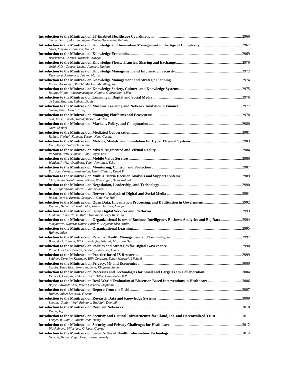| Sherer, Susan; Morana, Stefan; Reuter-Opperman, Melanie                                                                                                                             |      |
|-------------------------------------------------------------------------------------------------------------------------------------------------------------------------------------|------|
| Gloet, Marianne; Samson, Daniel                                                                                                                                                     |      |
| Brockmann, Carsten; Roztocki, Narcyz                                                                                                                                                |      |
| Joshi, K.D.; Cooper, Lynne; Johnson, Nathan                                                                                                                                         |      |
| Durcikova, Alexandra; Jennex, Murray                                                                                                                                                |      |
| Kaiser, Alexander; Peschl, Markus; Mendling, Jan                                                                                                                                    |      |
| Rollins, Minna; Wickramasinghe, Nilmini; Gabrielsson, Mika                                                                                                                          |      |
| de Laat, Maarten; Suthers, Daniel                                                                                                                                                   |      |
| Sarlin, Peter; Mezei, Jozsef                                                                                                                                                        |      |
|                                                                                                                                                                                     |      |
| Still, Kaisa; Basole, Rahul; Russell, Martha                                                                                                                                        |      |
| Oren, Shmuel                                                                                                                                                                        |      |
| Rafaeli, Sheizaf; Kalman, Yoram; Kent, Carmel                                                                                                                                       |      |
| Ezell, Barry; Goldrich, Luanne                                                                                                                                                      |      |
| Parvinen, Petri; Hamari, Juho; Pöyry, Essi                                                                                                                                          |      |
|                                                                                                                                                                                     |      |
| Walden, Pirkko; Dahlberg, Tomi; Penttinen, Esko                                                                                                                                     |      |
| Eto, Joe; Venkatasubramanian, Mani; Chassin, David P.                                                                                                                               |      |
| Chin, Amita Goyal; Sarin, Rakesh; Weistroffer, Heinz Roland                                                                                                                         |      |
| Bui, Tung; Shakun, Melvin; Paul, Souren                                                                                                                                             |      |
| Rosen, Devan; Barnett, George A.; Chu, Kar-Hai                                                                                                                                      |      |
| Krcmar, Helmut; Charalabidis, Yannis; Janssen, Marijn                                                                                                                               |      |
| Lindman, Juho; Rossi, Matti; Tuunainen, Virpi Kristiina                                                                                                                             |      |
| Introduction to the Minitrack on Organizational Issues of Business Intelligence, Business Analytics and Big Data2994<br>Marjanovic, Olivera; Dinter, Barbara; Ariyachandra, Thilini |      |
|                                                                                                                                                                                     |      |
| Hafner, Julee                                                                                                                                                                       |      |
| Bodendorf, Freimut; Wickramasinghe, Nilmini; Ma, Tuan Huy                                                                                                                           | 2998 |
| Parycek, Peter; Cordella, Antonio; Bannister, Frank                                                                                                                                 |      |
| Leidner, Dorothy; Kettinger, Bill; Gonzalez, Ester; Milovich, Michael                                                                                                               |      |
| Skouby, Knud Erik; Sorensen, Lene; Khajuria, Samant                                                                                                                                 |      |
| Derrrick, Douglas; Helquist, Joel; Diller, Christopher B.R.                                                                                                                         |      |
| Introduction to the Minitrack on Real-World Evaluation of Biosensor-Based Interventions in Healthcare 3006<br>Boyer, Edward; Chai, Peter; Carreiro, Stephanie                       |      |
| Hafner, Julee; Scovetta, Vincent                                                                                                                                                    |      |
|                                                                                                                                                                                     |      |
| Stieglitz, Stefan; Vogl, Raimund; Rudolph, Dominik                                                                                                                                  |      |
| Dagle, Jeff<br>Introduction to the Minitrack on Security and Critical Infrastructure for Cloud, IoT and Decentralized Trust3011                                                     |      |
| Yeager, William J.; Morin, Jean-Henry                                                                                                                                               |      |
| Plachkinova, Miloslava; Grispos, George                                                                                                                                             |      |
| Gewald, Heiko; Vogel, Doug; Bozan, Karoly                                                                                                                                           |      |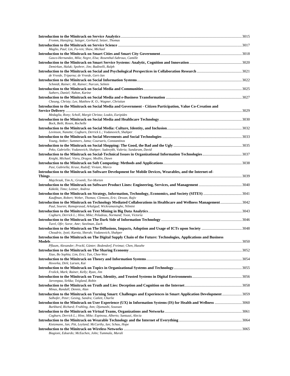| Fromm, Hansjörg; Satzger, Gerhard; Setzer, Thomas                                                                                                                             |  |
|-------------------------------------------------------------------------------------------------------------------------------------------------------------------------------|--|
| Maglio, Paul; Lin, Fu-ren; Shaw, Michael                                                                                                                                      |  |
| Gasco-Hernandez, Mila; Negre, Elsa; Rosenthal-Sabroux, Camille                                                                                                                |  |
| Demirkan, Haluk; Spohrer, Jim; Badinelli, Ralph                                                                                                                               |  |
|                                                                                                                                                                               |  |
| de Vreede, Triparna; de Vreede, Gert-Jan                                                                                                                                      |  |
| Schmidt, Rainer; Alt, Rainer; Nurcan, Selmin                                                                                                                                  |  |
| Suthers, Daniel; Nahon, Karine                                                                                                                                                |  |
| Cheung, Christy; Lee, Matthew K. O.; Wagner, Christian                                                                                                                        |  |
| Introduction to the Minitrack on Social Media and Government - Citizen Participation, Value Co-Creation and                                                                   |  |
| Medaglia, Rony; Scholl, Margit Christa; Loukis, Euripides                                                                                                                     |  |
|                                                                                                                                                                               |  |
| Bock, Beth; Rosen, Rochelle                                                                                                                                                   |  |
| Levinson, Nanette; Cogburn, Derrick L.; Vodanovich, Shahper                                                                                                                   |  |
| Young, Amber; Summers, Jama; Coursaris, Constantinos                                                                                                                          |  |
|                                                                                                                                                                               |  |
| Peko, Gabrielle; Vodanovich, Shahper; Sadovykh, Valeria; Sundaram, David                                                                                                      |  |
| Knight, Michael; Vieru, Dragos; Medlin, Dawn                                                                                                                                  |  |
| Pasi, Gabriella; Kruse, Rudolf; Viviani, Marco                                                                                                                                |  |
| Introduction to the Minitrack on Software Development for Mobile Devices, Wearables, and the Internet-of-                                                                     |  |
| Majchrzak, Tim A.; Groenli, Tor-Morten                                                                                                                                        |  |
| Käkölä, Timo; Leitner, Andrea                                                                                                                                                 |  |
|                                                                                                                                                                               |  |
| Kauffman, Robert; Weber, Thomas; Clemons, Eric; Dewan, Rajiv<br>Introduction to the Minitrack on Technology Mediated Collaborations in Healthcare and Wellness Management3042 |  |
| Paul, Souren; Ramaprasad, Arkalgud; Wickramasinghe, Nilmini                                                                                                                   |  |
| Cogburn, Derrick L.; Hine, Mike; Peladeau, Normand; Yoon, Victoria                                                                                                            |  |
|                                                                                                                                                                               |  |
| Turel, Ofir; Soror, Amr; Steelman, Zach                                                                                                                                       |  |
| Choudrie, Jyoti; Kurnia, Sherah; Vodanovich, Shahper                                                                                                                          |  |
| Introduction to the Minitrack on The Digital Supply Chain of the Future: Technologies, Applications and Business                                                              |  |
| Pflaum, Alexander; Prockl, Günter; Bodendorf, Freimut; Chen, Haozhe                                                                                                           |  |
| Xiao, Bo Sophia; Lim, Eric; Tan, Chee-Wee                                                                                                                                     |  |
|                                                                                                                                                                               |  |
| Hovorka, Dirk; Larsen, Kai                                                                                                                                                    |  |
| Frolick, Mark; Rainer, Kelly; Ryan, Jim                                                                                                                                       |  |
| Jarvenpaa, Sirkka; Teigland, Robin                                                                                                                                            |  |
| Minas, Randall; Dennis, Alan                                                                                                                                                  |  |
| Introduction to the Minitrack on Turning Smart: Challenges and Experiences in Smart Application Development  3059<br>Salhofer, Peter; Gesing, Sandra; Catlett, Charlie        |  |
| Introduction to the Minitrack on User Experience (UX) in Information Systems (IS) for Health and Wellness 3060<br>Burkhard, Richard; Fruhling, Ann; Djamasbi, Soussan         |  |
| Cogburn, Derrick L.; Hine, Mike; Espinosa, Alberto; Santuzzi, Alecia                                                                                                          |  |
|                                                                                                                                                                               |  |
| Kietzmann, Jan; Pitt, Leyland; McCarthy, Ian; Schau, Hope                                                                                                                     |  |
| Biagioni, Edoardo; McEachen, John; Tummala, Murali                                                                                                                            |  |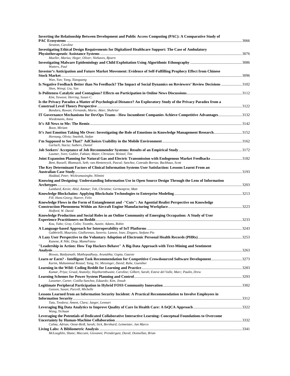| Inverting the Relationship Between Development and Public Access Computing (PAC): A Comparative Study of                                                                     |  |
|------------------------------------------------------------------------------------------------------------------------------------------------------------------------------|--|
| Stratton, Caroline                                                                                                                                                           |  |
| Investigating Ethical Design Requirements for Digitalized Healthcare Support: The Case of Ambulatory                                                                         |  |
| Mueller, Marius; Heger, Oliver; Niehaves, Bjoern                                                                                                                             |  |
| Watters, Paul                                                                                                                                                                |  |
| Investor's Anticipation and Future Market Movement: Evidence of Self-Fulfilling Prophecy Effect from Chinese                                                                 |  |
| Wan, Yun; Yang, Xiaoguang                                                                                                                                                    |  |
| Is Negative Feedback Better than No Feedback? The Impact of Social Dynamics on Reviewers' Review Decisions 3102<br>Shen, Wengi; Liu, Yan                                     |  |
| Kim, Yeweon; Herring, Susan C.                                                                                                                                               |  |
| Is the Privacy Paradox a Matter of Psychological Distance? An Exploratory Study of the Privacy Paradox from a                                                                |  |
| Bandara, Ruwan; Fernando, Mario; Akter, Shahriar                                                                                                                             |  |
| IT Governance Mechanisms for DevOps Teams - How Incumbent Companies Achieve Competitive Advantages3132                                                                       |  |
| Wiedemann, Anna                                                                                                                                                              |  |
| Boon, Miriam                                                                                                                                                                 |  |
| It's Just Emotion Taking Me Over: Investigating the Role of Emotions in Knowledge Management Research3152<br>Hornung, Olivia; Smolnik, Stefan                                |  |
| Garlach, Stacia; Suthers, Daniel                                                                                                                                             |  |
|                                                                                                                                                                              |  |
| Laumer, Sven; Gubler, Fabian; Maier, Christian; Weitzel, Tim                                                                                                                 |  |
| Bent, Russell; Blumsack, Seth; van Hentenryck, Pascal; Sanchez, Conrado Borraz; Backhaus, Scott                                                                              |  |
| The Kev Determinant Factors of Clinical Information Systems User Satisfaction: Lessons Learnt From an                                                                        |  |
| Haddad, Peter; Wickramasinghe, Nilmini                                                                                                                                       |  |
| Knowing and Designing: Understanding Information Use in Open Source Design Through the Lens of Information                                                                   |  |
| Lumbard, Kevin; Abid, Ammar; Toh, Christine; Germonprez, Matt                                                                                                                |  |
| Fill, Hans-Georg; Haerer, Felix                                                                                                                                              |  |
| Knowledge Flows in the Form of Entanglement and -"Cuts": An Agential Realist Perspective on Knowledge                                                                        |  |
| Holford, W. David                                                                                                                                                            |  |
| Knowledge Production and Social Roles in an Online Community of Emerging Occupation: A Study of User                                                                         |  |
|                                                                                                                                                                              |  |
| Kou, Yubo; Gray, Colin; Toombs, Austin; Adams, Robin                                                                                                                         |  |
| Gabbrielli, Maurizio; Giallorenzo, Saverio; Lanese, Ivan; Zingaro, Stefano Pio                                                                                               |  |
| Kunene, K Niki; Diop, MameFatou                                                                                                                                              |  |
| "Leadership in Action: How Top Hackers Behave" A Big-Data Approach with Text-Mining and Sentiment                                                                            |  |
|                                                                                                                                                                              |  |
| Biswas, Baidyanath; Mukhopadhyay, Arunabha; Gupta, Gaurav                                                                                                                    |  |
| Learn or Earn? - Intelligent Task Recommendation for Competitive Crowdsourced Software Development3273<br>Karim, Muhammad Rezaul; Yang, Ye; Messinger, David; Ruhe, Guenther |  |
|                                                                                                                                                                              |  |
| Kumar, Priya; Gruzd, Anatoliy; Haythornthwaite, Caroline; Gilbert, Sarah; Esteve del Valle, Marc; Paulin, Drew                                                               |  |
| Lassetter, Carter; Cotilla-Sanchez, Eduardo; Kim, Jinsub                                                                                                                     |  |
| Gasson, Susan; Purcell, Michelle                                                                                                                                             |  |
| Lessons Learned from an Information Security Incident: A Practical Recommendation to Involve Employees in                                                                    |  |
|                                                                                                                                                                              |  |
| Tatu, Teodora; Ament, Clara; Jaeger, Lennart                                                                                                                                 |  |
| Wang, Yichuan                                                                                                                                                                |  |
| Leveraging the Potentials of Dedicated Collaborative Interactive Learning: Conceptual Foundations to Overcome                                                                |  |
| Calma, Adrian; Oeste-Reiß, Sarah; Sick, Bernhard; Leimeister, Jan Marco                                                                                                      |  |
|                                                                                                                                                                              |  |
| McLoughlin, Shane; Maccani, Giovanni; Prendergast, David; Donnellan, Brian                                                                                                   |  |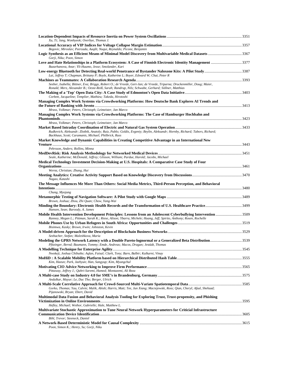| Xu, Ti; Jang, Wonhyeok; Overbye, Thomas J.                                                                                                                                                                                                                                                |  |
|-------------------------------------------------------------------------------------------------------------------------------------------------------------------------------------------------------------------------------------------------------------------------------------------|--|
| Begovic, Miroslav; Peerzada, Aaqib; Nuqui, Reynaldo; Picone, Benjamin                                                                                                                                                                                                                     |  |
| Logic Synthesis as an Efficient Means of Minimal Model Discovery from Multivariable Medical Datasets 3367<br>Gorji, Niku; Poon, Simon                                                                                                                                                     |  |
| Love and Hate Relationships in a Platform Ecosystem: A Case of Finnish Electronic Identity Management 3377<br>Bazarhanova, Anar; Yli-Huumo, Jesse; Smolander, Kari                                                                                                                        |  |
| Lai, Jeffrey T; Chapman, Brittany P; Boyle, Katherine L; Boyer, Edward W; Chai, Peter R                                                                                                                                                                                                   |  |
| Seeber, Isabella; Bittner, Eva; Briggs, Robert O.; de Vreede, Gert-Jan; de Vreede, Triparna; Druckenmiller, Doug; Maier,<br>Ronald; Merz, Alexander B.; Oeste-Reiß, Sarah; Randrup, Nils; Schwabe, Gerhard; Söllner, Matthias                                                             |  |
| Corbett, Jacqueline; Templier, Mathieu; Takeda, Hirotoshi                                                                                                                                                                                                                                 |  |
| Managing Complex Work Systems via Crowdworking Platforms: How Deutsche Bank Explores AI Trends and<br>Mrass, Volkmar; Peters, Christoph; Leimeister, Jan Marco                                                                                                                            |  |
| Managing Complex Work Systems via Crowdworking Platforms: The Case of Hamburger Hochbahn and                                                                                                                                                                                              |  |
| Mrass, Volkmar; Peters, Christoph; Leimeister, Jan Marco                                                                                                                                                                                                                                  |  |
| Rudkevich, Aleksandr; Zlotbik, Anatoly; Ruiz, Pablo; Goldis, Evgeniy; Beylin, Aleksandr; Hornby, Richard; Tabors, Richard;<br>Backhaus, Scott; Caramanis, Michael; Philbrick, Russ<br>Market Knowledge and Dynamic Capabilities in Creating Competitive Advantage in an International New |  |
| Pehrsson, Anders; Rollins, Minna                                                                                                                                                                                                                                                          |  |
| Seale, Katherine; McDonald, Jeffrey; Glisson, William; Pardue, Harold; Jacobs, Michael                                                                                                                                                                                                    |  |
| Medical Technology Investment Decision-Making at U.S. Hospitals: A Comparative Case Study of Four<br>Wernz, Christian; Zhang, Hui                                                                                                                                                         |  |
| Nagao, Katashi                                                                                                                                                                                                                                                                            |  |
|                                                                                                                                                                                                                                                                                           |  |
| The Message Influences Me More Than Others: Social Media Metrics, Third-Person Perception, and Behavioral                                                                                                                                                                                 |  |
| Chung, Myojung                                                                                                                                                                                                                                                                            |  |
| Brown, Joshua; Zhou, Zhi Quan; Chow, Yang-Wai                                                                                                                                                                                                                                             |  |
| Hansen, Sean; Baroody, A. James                                                                                                                                                                                                                                                           |  |
| Mobile Health Intervention Development Principles: Lessons from an Adolescent Cyberbullying Intervention 3509<br>Ranney, Megan L.; Pittman, Sarah K.; Riese, Alison; Ybarra, Michele; Huang, Jeff; Spirito, Anthony; Rosen, Rochelle                                                      |  |
| Bisimwa, Kasky; Brown, Irwin; Johnston, Kevin                                                                                                                                                                                                                                             |  |
| Seebacher, Stefan; Maleshkova, Maria                                                                                                                                                                                                                                                      |  |
| Modeling the GPRS Network Latency with a Double Pareto-lognormal or a Generalized Beta Distribution3539<br>Pfitzinger, Bernd; Baumann, Tommy; Emde, Andreas; Macos, Dragan; Jestädt, Thomas                                                                                               |  |
| Nwokeji, Joshua Chibuike; Aglan, Faisal; Clark, Tony; Barn, Balbir; Kulkarni, Vinay                                                                                                                                                                                                       |  |
| Kim, Haeun; Park, Jaehyun; Han, Sangyup; Kim, Myungchul                                                                                                                                                                                                                                   |  |
| Pittaway, Jeffrey J.; Oahri-Saremi, Hamed; Montazemi, Ali Reza                                                                                                                                                                                                                            |  |
|                                                                                                                                                                                                                                                                                           |  |
| Andulkar, Mayur; Le, Duc Tho; Berger, Ulrich<br>Gorko, Thomas; Yau, Calvin; Malik, Abish; Harris, Matt; Tee, Jun Xiang; Maciejewski, Ross; Qian, Cheryl; Afzal, Shehzad;<br>Pijanowski, Bryan; Ebert, David                                                                               |  |
| Multimodal Data Fusion and Behavioral Analysis Tooling for Exploring Trust, Trust-propensity, and Phishing<br>Hefley, Michael; Wethor, Gabrielle; Hale, Matthew L.                                                                                                                        |  |
| Multivariate Stochastic Approximation to Tune Neural Network Hyperparameters for Criticial Infrastructure<br>Bihl, Trevor; Steeneck, Daniel                                                                                                                                               |  |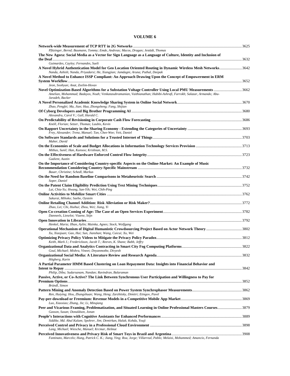| Pfitzinger, Bernd; Baumann, Tommy; Emde, Andreas; Macos, Dragan; Jestädt, Thomas                                                                   |  |
|----------------------------------------------------------------------------------------------------------------------------------------------------|--|
| The New Agora: Social Media as a Vector for Sign Language as a Language of Culture, Identity and Inclusion of                                      |  |
|                                                                                                                                                    |  |
| Guimarães, Cayley; Fernandes, Sueli<br>A Novel Hybrid Authentication Model for Geo Location Oriented Routing in Dynamic Wireless Mesh Networks3642 |  |
| Nanda, Ashish; Nanda, Priyadarsi; He, Xiangjian; Jamdagni, Aruna; Puthal, Deepak                                                                   |  |
| A Novel Method to Enhance ISSP Compliant: An Approach Drawing Upon the Concept of Empowerment in ERM                                               |  |
| Jeon, Soohyun; Anat, Zeelim-Hovav<br>Novel Optimization-Based Algorithms for a Substation Voltage Controller Using Local PMU Measurements 3662     |  |
| Amelian, Mohammad; Badayos, Noah; Venkatasubramanian, Vaithianathan; Habibi-Ashrafi, Farrokh; Salazar, Armando; Abu-<br>Jaradeh, Backer            |  |
| Zhao, Pengfei; Ma, Jian; Hua, Zhongsheng; Fang, Shijian                                                                                            |  |
|                                                                                                                                                    |  |
| Alexandru, Carol V.; Gall, Harald C.<br>Knöll, Florian; Setzer, Thomas; Laubis, Kevin                                                              |  |
|                                                                                                                                                    |  |
| Frey, Alexander; Trenz, Manuel; Tan, Chee-Wee; Veit, Daniel                                                                                        |  |
| Maher, David                                                                                                                                       |  |
| Mithas, Sunil; Han, Kunsoo; Krishnan, M.S.                                                                                                         |  |
| Gadient, Austin                                                                                                                                    |  |
| On the Importance of Considering Country-specific Aspects on the Online-Market: An Example of Music<br>Bauer, Christine; Schedl, Markus            |  |
| Soper, Daniel                                                                                                                                      |  |
| Lai, Chia-Yu; Hwang, San-Yih; Wei, Chih-Ping                                                                                                       |  |
| Sakurai, Mihoko; Saebo, Oystein                                                                                                                    |  |
|                                                                                                                                                    |  |
| Zhao, Lei; Chi, Huihui; Zhou, Wei; Jiang, Yi<br>Danneels, Lieselot; Viaene, Stijn                                                                  |  |
|                                                                                                                                                    |  |
| Henkel, Maria; Ilhan, Aylin; Mainka, Agnes; Stock, Wolfgang                                                                                        |  |
| Xu, Xiaojuan; Gao, Hui; Sun, Jianshan; Wang, Cuicui; Xu, Wei                                                                                       |  |
| Keith, Mark J.; Frederickson, Jacob T.; Reeves, K. Shane; Babb, Jeffry                                                                             |  |
| Goul, Michael; Mishra, Vineet; Dnyanmothe, Divyesh                                                                                                 |  |
| Högberg, Karin                                                                                                                                     |  |
| A Partial Parameter HMM Based Clustering on Loan Repayment Data: Insights into Financial Behavior and                                              |  |
| Philip, Dibu; Sudarsanam, Nandan; Ravindran, Balaraman                                                                                             |  |
| Passive, Active, or Co-Active? The Link Between Synchronous User Participation and Willingness to Pay for                                          |  |
| Bründl, Simon                                                                                                                                      |  |
| Ren, Huiying; Hou, Zhangshuan; Wang, Heng; Zarzhitsky, Dimitri; Etingov, Pavel                                                                     |  |
| Luo, Xiaoxiao; Zhang, Jie; Li, Mingiang                                                                                                            |  |
| Peer and Vicarious Framing, Problematization, and Situated Learning in Online Professional Masters Courses3879<br>Gasson, Susan; Donaldson, Jonan  |  |
|                                                                                                                                                    |  |
| Siddike, Md. Abul Kalam; Spohrer, Jim; Demirkan, Haluk; Kohda, Youji                                                                               |  |
| Lang, Michael; Wiesche, Manuel; Krcmar, Helmut                                                                                                     |  |
| Fantinato, Marcelo; Hung, Patrick C. K.; Jiang, Ying; Roa, Jorge; Villarreal, Pablo; Melaisi, Mohammed; Amancio, Fernanda                          |  |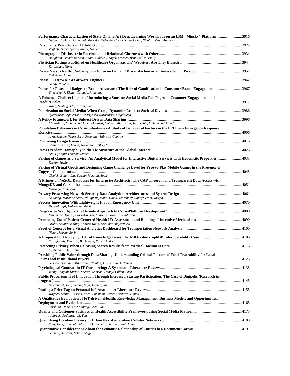| Guignard, Mauricio; Schild, Marcelo; Bederián, Carlos S.; Wolovick, Nicolás; Vega, Augusto J.                                                                                                     |  |
|---------------------------------------------------------------------------------------------------------------------------------------------------------------------------------------------------|--|
|                                                                                                                                                                                                   |  |
| Vaghefi, Isaac; Qahri-Saremi, Hamed                                                                                                                                                               |  |
| Houghton, David; Joinson, Adam; Caldwell, Nigel; Marder, Ben; Collins, Emily                                                                                                                      |  |
| Kordzadeh, Nima                                                                                                                                                                                   |  |
| Riekkinen, Janne                                                                                                                                                                                  |  |
| Guelfi, Nicolas                                                                                                                                                                                   |  |
| Points for Posts and Badges to Brand Advocates: The Role of Gamification in Consumer Brand Engagement3967<br>Vitkauskait?, Elena; Gatautis, Rimantas                                              |  |
| A Poisoned Chalice: Impact of Introducing a Store on Social Media Fan Pages on Customer Engagement and                                                                                            |  |
| Wang, Shuting Ada; Wattal, Sunil                                                                                                                                                                  |  |
| Rychwalska, Agnieszka; Roszczynska-Kurasinska, Magdalena                                                                                                                                          |  |
|                                                                                                                                                                                                   |  |
| Chowdhury, Mohammad Jabed Morshed; Colman, Alan; Han, Jun; Kabir, Muhammad Ashad<br>Population Behaviors in Crisis Situations - A Study of Behavioral Factors in the PPI Ineos Emergency Response |  |
|                                                                                                                                                                                                   |  |
| Arru, Maude; Negre, Elsa; Rosenthal-Sabroux, Camille                                                                                                                                              |  |
| Chandra Kruse, Leona; Nickerson, Jeffrey V.                                                                                                                                                       |  |
|                                                                                                                                                                                                   |  |
| Seo, Hyunjin; Thorson, Stuart<br>Pricing of Games as a Service: An Analytical Model for Interactive Digital Services with Hedonistic Properties 4035                                              |  |
| Keskin, Tayfun                                                                                                                                                                                    |  |
| Pricing of Virtual Goods and Designing Game Challenge Level for Free-to-Play Mobile Games in the Presence of                                                                                      |  |
| Civelek, Ismail; Liu, Yipeng; Marston, Sean                                                                                                                                                       |  |
| A Primer on NoSQL Databases for Enterprise Architects: The CAP Theorem and Transparent Data Access with                                                                                           |  |
|                                                                                                                                                                                                   |  |
| Marungo, Fumbeya                                                                                                                                                                                  |  |
| DeYoung, Mark; Kobezak, Philip; Raymond, David; Marchany, Randy; Tront, Joseph                                                                                                                    |  |
| Øvrelid, Egil; Halvorsen, Marit                                                                                                                                                                   |  |
| Majchrzak, Tim A.; Biørn-Hansen, Andreas; Grønli, Tor-Morten                                                                                                                                      |  |
|                                                                                                                                                                                                   |  |
| Grube, Anton; Dehling, Tobias; Klein, Kristina; Sunyaev, Ali                                                                                                                                      |  |
| Nistor, Marian Sorin                                                                                                                                                                              |  |
| Karagiannis, Dimitris; Buchmann, Robert Andrei                                                                                                                                                    |  |
|                                                                                                                                                                                                   |  |
| Li, Xiaobai; Qin, Jialun<br>Providing Public Value through Data Sharing: Understanding Critical Factors of Food Traceability for Local                                                            |  |
| Gasco-Hernandez, Mila; Feng, Wenhui; Gil-Garcia, J. Ramon                                                                                                                                         |  |
|                                                                                                                                                                                                   |  |
| Jeong, Jongkil; Kurnia, Sherah; Samson, Danny; Cullen, Sara<br>Public Procurement of Innovation Through Increased Startup Participation: The Case of Digipolis (Research-in-                      |  |
|                                                                                                                                                                                                   |  |
| De Coninck, Ben; Viaene, Stijn; Leysen, Jan                                                                                                                                                       |  |
| Wagner, Amina; Wessels, Nora; Buxmann, Peter; Krasnova, Hanna                                                                                                                                     |  |
| A Qualitative Evaluation of IoT-driven eHealth: Knowledge Management, Business Models and Opportunities,                                                                                          |  |
| Lokshina, Izabella V.; Lanting, Cees J.M.                                                                                                                                                         |  |
|                                                                                                                                                                                                   |  |
| Albarrak, Abdulaziz; Li, Yan                                                                                                                                                                      |  |
| Roth, John; Tummala, Murali; McEachen, John; Scrofani, James                                                                                                                                      |  |
| Schmidt, Andreas; Scholz, Steffen                                                                                                                                                                 |  |
|                                                                                                                                                                                                   |  |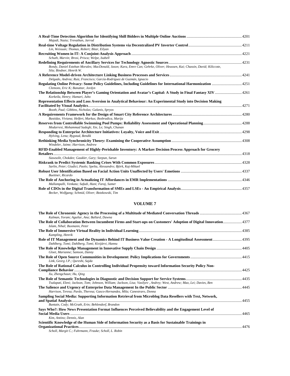| Majadi, Nazia; Trevathan, Jarrod                                                                                                                                |      |
|-----------------------------------------------------------------------------------------------------------------------------------------------------------------|------|
| Lin, Weixuan; Thomas, Robert; Bitar, Eilyan                                                                                                                     |      |
|                                                                                                                                                                 |      |
| Schuth, Marvin; Brosi, Prisca; Welpe, Isabell                                                                                                                   |      |
| Bondy, Daniel Esteban Morales; MacDonald, Jason; Kara, Emre Can; Gehrke, Oliver; Heussen, Kai; Chassin, David; Kiliccote,<br>Sila: Bindner, Henrik W.           |      |
| Delgado, Andrea; Ruiz, Francisco; García-Rodríguez de Guzmán, Ignacio                                                                                           |      |
| Regulating Online Privacy: Some Policy Guidelines, Including Guidelines for International Harmonization  4251<br>Clemons, Eric K; Banattar, Jordyn              |      |
| The Relationship Between Player's Gaming Orientation and Avatar's Capital: A Study in Final Fantasy XIV  4261<br>Korkeila, Henry; Hamari, Juho                  |      |
| Representation Effects and Loss Aversion in Analytical Behaviour: An Experimental Study into Decision Making<br>Booth, Paul; Gibbins, Nicholas; Galanis, Spryos | 4271 |
| Bastidas, Viviana; Helfert, Markus; Bezbradica, Marija                                                                                                          |      |
| Modarresi, Mohammad Sadegh; Xie, Le; Singh, Chanan                                                                                                              |      |
| Hylving, Lena; Bygstad, Bendik                                                                                                                                  |      |
| Windeler, Jaime; Harrison, Andrew                                                                                                                               |      |
| RFID-Enabled Management of Highly-Perishable Inventory: A Markov Decision Process Approach for Grocery                                                          |      |
|                                                                                                                                                                 |      |
| Siawsolit, Chokdee; Gaukler, Gary; Seepun, Sarun                                                                                                                |      |
| Sarlin, Peter; Giudici, Paolo; Spelta, Alessandro; Björk, Kaj-Mikael                                                                                            |      |
| Buettner, Ricardo                                                                                                                                               |      |
| Mallampalli, Venkata; Safadi, Hani; Faraj, Samer                                                                                                                |      |
| Becker, Wolfgang; Schmid, Oliver; Botzkowski, Tim                                                                                                               |      |

| Kalman, Yoram; Aguilar, Ana; Ballard, Dawna                                                                                                                     |       |
|-----------------------------------------------------------------------------------------------------------------------------------------------------------------|-------|
| The Role of Collaboration Between Incumbent Firms and Start-ups on Customers' Adoption of Digital Innovation4377<br>Islam, Nihal; Buxmann, Peter                |       |
| Kampling, Henrik                                                                                                                                                |       |
| Dahlberg, Tomi; Dahlberg, Tomi; Kivijärvi, Hannu                                                                                                                |       |
| Gloet, Marianne; Samson, Danny                                                                                                                                  |       |
| Link, Georg J.P.; Qureshi, Sajda                                                                                                                                |       |
| The Role of Rational Calculus in Controlling Individual Propensity toward Information Security Policy Non-<br>Xu, Zhengchaun; Hu, Qing                          | .4425 |
| Tsalapati, Eleni; Jackson, Tom; Johnson, William; Jackson, Lisa; Vasilyev, Andrey; West, Andrew; Mao, Lei; Davies, Ben                                          |       |
| Harrison, Teresa; Pardo, Theresa; Gasco-Hernandez, Mila; Canestraro, Donna                                                                                      | 4445  |
| Sampling Social Media: Supporting Information Retrieval from Microblog Data Resellers with Text, Network,<br>Buntain, Cody; McGrath, Erin; Behlendorf, Brandon  | 4455  |
| Says Who?: How News Presentation Format Influences Perceived Believability and the Engagement Level of<br>Kim, Antino; Dennis, Alan                             | 4465  |
| Scientific Knowledge of the Human Side of Information Security as a Basis for Sustainable Trainings in<br>Scholl, Margit C.; Fuhrmann, Frauke; Scholl, L. Robin |       |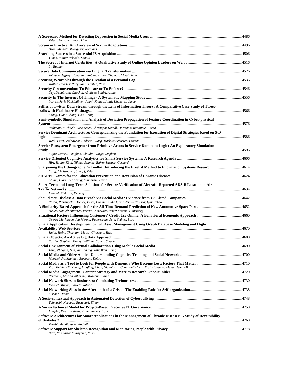| Tefera, Netsanet; Zhou, Lina                                                                                                                                 |      |
|--------------------------------------------------------------------------------------------------------------------------------------------------------------|------|
|                                                                                                                                                              |      |
| Hron, Michal; Obwegeser, Nikolaus                                                                                                                            |      |
| Ylinen, Maija; Pekkola, Samuli                                                                                                                               |      |
| Li, Ruohan                                                                                                                                                   |      |
| Johnson, Jeffrey; Houghton, Robert; Hilton, Thomas; Cheah, Ivan                                                                                              |      |
|                                                                                                                                                              |      |
| Walter, Charles; Riley, Ian; Gamble, Rose                                                                                                                    |      |
| Dey, Debabrata; Ghoshal, Abhijeet; Lahiri, Atanu                                                                                                             |      |
| Porras, Jari; Pänkäläinen, Jouni; Knutas, Antti; Khakurel, Jayden                                                                                            |      |
| Selfies of Twitter Data Stream through the Lens of Information Theory: A Comparative Case Study of Tweet-                                                    |      |
|                                                                                                                                                              |      |
| Zhang, Yuan; Chang, Hsia-Ching<br>Semi-symbolic Simulation and Analysis of Deviation Propagation of Feature Coordination in Cyber-physical                   |      |
|                                                                                                                                                              |      |
| Rathmair, Michael; Luckeneder, Christoph; Kaindl, Hermann; Radojicic, Carna                                                                                  |      |
| Service Dominant Architecture: Conceptualizing the Foundation for Execution of Digital Strategies based on S-D                                               |      |
| Weiß, Peter; Zolnowski, Andreas; Warg, Markus; Schuster, Thomas                                                                                              |      |
| Service Ecosystem Emergence from Primitive Actors in Service Dominant Logic: An Exploratory Simulation                                                       |      |
| Fujita, Satoru; Vaughan, Claudia; Vargo, Stephen                                                                                                             |      |
|                                                                                                                                                              |      |
| Hirt, Robin; Kühl, Niklas; Schmitz, Björn; Satzger, Gerhard                                                                                                  |      |
| Califf, Christopher; Stumpf, Tyler                                                                                                                           |      |
| Chung, Claris Yee Seung; Sundaram, David                                                                                                                     |      |
| Short-Term and Long-Term Solutions for Secure Verification of Aircraft- Reported ADS-B Location in Air                                                       |      |
| Manuel, Nikki; Li, Depeng                                                                                                                                    |      |
| Rosati, Pierangelo; Deeney, Peter; Cummins, Mark; van der Werff, Lisa; Lynn, Theo                                                                            |      |
|                                                                                                                                                              |      |
| Steuer, Daniel; Hutterer, Verena; Korevaar, Peter; Fromm, Hansjoerg                                                                                          |      |
| Øverby Markussen, Ida Merete; Fagerstrøm, Asle; Sydnes, Lars                                                                                                 |      |
| Smart Application Development for IoT Asset Management Using Graph Database Modeling and High-                                                               |      |
| Smidt, Holm; Thornton, Matsu; Ghorbani, Reza                                                                                                                 |      |
|                                                                                                                                                              |      |
| Kaisler, Stephen; Money, William; Cohen, Stephen                                                                                                             | 4690 |
| Yang, Zhaojun; Sun, Jun; Zhang, Yali; Wang, Ying                                                                                                             |      |
| Milovich Jr., Michael; Burleson, Debra                                                                                                                       |      |
| 500 4110 Social Media as a Tool to Look for People with Dementia Who Become Lost: Factors That Matter                                                        |      |
| Tsoi, Kelvin KF; Zhang, Lingling; Chan, Nicholas B; Chan, Felix CH; Hirai, Hoyee W; Meng, Helen ML                                                           |      |
| Perreault, Marie-Catherine; Mosconi, Elaine                                                                                                                  |      |
| Moqbel, Murad; Bartelt, Valerie                                                                                                                              |      |
| Fischer, Diana                                                                                                                                               |      |
| Tahmasbi, Nargess; Rastegari, Elham                                                                                                                          |      |
|                                                                                                                                                              |      |
| Murphy, Kris; Lyytinen, Kalle; Somers, Toni<br>Software Architectures for Smart Applications in the Management of Chronic Diseases: A Study of Reversibility |      |
| Tarabi, Mehdi; Juric, Radmila                                                                                                                                |      |
|                                                                                                                                                              |      |
| Nitta, Yoshihisa; Murayama, Yuko                                                                                                                             |      |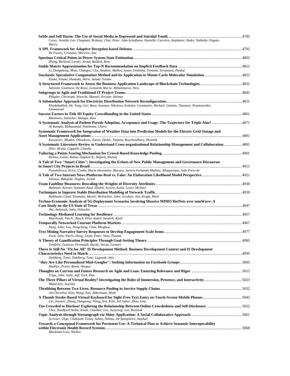| Carey, Jennifer Lee; Chapman, Brittany; Chai, Peter; Jake-Schoffman, Danielle; Carreiro, Stephanie; Nader, Nathalie; Pagoto,                           |  |
|--------------------------------------------------------------------------------------------------------------------------------------------------------|--|
| Sherry                                                                                                                                                 |  |
|                                                                                                                                                        |  |
| De Faveri, Cristiano; Moreira, Ana                                                                                                                     |  |
| Zhang, Richard; Lavaei, Javad; Baldick, Ross                                                                                                           |  |
| Li, Dongsheng; Miao, Changyu; Chu, Stephen; Mallen, Jason; Yoshioka, Tomomi; Srivastava, Pankaj                                                        |  |
| Iizuka, Yasuki; Hamada, Akira; Suzuki, Yosuke                                                                                                          |  |
| Salviotti, Gianluca; De Rossi, Leonardo Maria; Abbatemarco, Nico                                                                                       |  |
|                                                                                                                                                        |  |
| Pflügler, Christoph; Wiesche, Manuel; Krcmar, Helmut                                                                                                   |  |
| Khodabakhsh, Ali; Yang, Ger; Basu, Soumya; Nikolova, Evdokia; Caramanis, Michael; Lianeas, Thanasis; Pountourakis,<br>Emmanouil                        |  |
| Mamonov, Stanislav; Malaga, Ross                                                                                                                       |  |
| A Systematic Analysis of Patient Portals Adoption, Acceptance and Usage: The Trajectory for Triple Aim?  4871<br>Al-Ramahi, Mohammad; Noteboom, Cherie |  |
| Systematic Framework for Integration of Weather Data into Prediction Models for the Electric Grid Outage and                                           |  |
| Kezunovic, Mladen; Obradovic, Zoran; Djokic, Tatjana; Roychoudhury, Shoumik                                                                            |  |
| A Systematic Literature Review to Understand Cross-organizational Relationship Management and Collaboration 4891<br>Diirr, Bruna; Cappelli, Claudia    |  |
| Richter, Ganit; Raban, Daphne R.; Rafaeli, Sheizaf                                                                                                     |  |
| A Tale of Two "Smart Cities": Investigating the Echoes of New Public Management and Governance Discourses                                              |  |
| Przeybilovicz, Erico; Cunha, Maria Alexandra; Macaya, Javiera Fernanda Medina; Albuquerque, João Porto de                                              |  |
| Osatuyi, Babajide; Hughes, Jerald                                                                                                                      |  |
| Bahmani, Keivan; Semnani-Azad, Zhaleh; Sycara, Katia; Lewis, Michael                                                                                   |  |
|                                                                                                                                                        |  |
| Bollmann, Chad; Tummala, Murali; McEachen, John; Scrofani, Jim; Kragh, Mark                                                                            |  |
| Techno-Economic Analysis of 5G Deployment Scenarios involving Massive MIMO HetNets over mmWave: A                                                      |  |
| Jha, Ashutosh; Saha, Debashis                                                                                                                          |  |
| Majchrzak, Tim A.; Busch, Peter André; Sandvik, Kjetil                                                                                                 |  |
|                                                                                                                                                        |  |
| Pang, John; You, Pengcheng; Chen, Minghua                                                                                                              |  |
| Ford, John; Nierle, Doug; Leeds, Peter; Stetz, Thomas                                                                                                  |  |
| Tondello, Gustavo; Premsukh, Hardy; Nacke, Lennart                                                                                                     |  |
| There Is Still No "Fit for All" IS Development Method: Business Development Context and IS Development                                                 |  |
|                                                                                                                                                        |  |
| Dahlberg, Tomi; Dahlberg, Tomi; Lagstedt, Altti<br>Mudliar, Preeti; Raval, Noopur                                                                      |  |
| Tripp, John; Saltz, Jeff; Turk, Dan                                                                                                                    |  |
| Mütterlein, Joschka                                                                                                                                    |  |
| van Oorschot, Kim; Wang, Yan; Akkermans, Henk                                                                                                          |  |
| Lai, Jianwei; Zhang, Dongsong; Wang, Sen; Kilic, Isil Yakut; Zhou, Lina                                                                                |  |
| Choi, HanByeol Stella; Kwak, Chanhee; Lee, Junyeong; Lee, Heeseok                                                                                      |  |
| Scrivner, Olga; Chakilam, Vinita; Sahoo, Nilima; De Spiegeleire, Stephan                                                                               |  |
| Towards a Conceptual Framework for Persistent Use: A Technical Plan to Achieve Semantic Interoperability                                               |  |
| Blackman-Lees, Shellon                                                                                                                                 |  |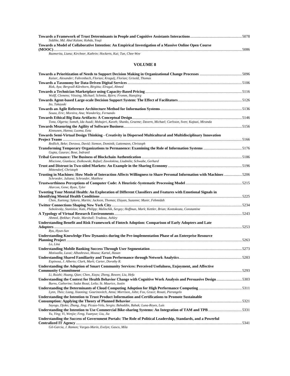| Siddike, Md. Abul Kalam; Kohda, Youji                                                                  |      |
|--------------------------------------------------------------------------------------------------------|------|
| Towards a Model of Collaborative Intention: An Empirical Investigation of a Massive Online Open Course |      |
|                                                                                                        | 5086 |
|                                                                                                        |      |

*Razmerita, Liana; Kirchner, Kathrin; Hockerts, Kai; Tan, Chee-Wee* 

| Rizk, Aya; Bergvall-Kåreborn, Birgitta; Elragal, Ahmed<br>Wolff, Clemens; Vössing, Michael; Schmitz, Björn; Fromm, Hansjörg<br>Ito, Takayuki<br>Souza, Eric; Moreira, Ana; Wanderley, Fernando<br>Tona, Olgerta; Someh, Ida Asadi; Mohajeri, Kaveh; Shanks, Graeme; Davern, Michael; Carlsson, Sven; Kajtazi, Miranda<br>Kinnunen, Hanna; Luoma, Eetu<br>Towards Semi-Virtual Design Thinking - Creativity in Dispersed Multicultural and Multidisciplinary Innovation<br>Redlich, Beke; Dorawa, David; Siemon, Dominik; Lattemann, Christoph<br>Gupta, Gaurav; Bose, Indranil<br>Miscione, Gianluca; Ziolkowski, Rafael; Zavolokina, Liudmila; Schwabe, Gerhard<br>Mittendorf, Christoph<br>Trusting in Machines: How Mode of Interaction Affects Willingness to Share Personal Information with Machines 5206<br>Schroeder, Juliana; Schroeder, Matthew<br>Alarcon, Gene; Ryan, Tyler<br>Tweeting Your Mental Health: An Exploration of Different Classifiers and Features with Emotional Signals in<br>Chen, Xuetong; Sykora, Martin; Jackson, Thomas; Elayan, Suzanne; Munir, Fehmidah<br>Sobolevsky, Stanislav; Kats, Philipp; Malinchik, Sergey; Hoffman, Mark; Kettler, Brian; Kontokosta, Constantine<br>Ahmed, Iftekhar; Poole, Marshall; Trudeau, Ashley<br>Understanding Benefit and Risk Framework of Fintech Adoption: Comparison of Early Adopters and Late<br>Ryu, Hyun-Sun<br>Understanding Knowledge Flow Dynamics during the Pre-implementation Phase of an Enterprise Resource<br>Lo, Lina<br>Motiwalla, Luvai; Albashrawi, Mousa; Kartal, Hasan<br>Espinosa, J. Alberto; Clark, Mark; Carter, Dorothy R.<br>Li, Ruizhi; Huang, Qian; Chen, Xiayu; Zheng, Bowen; Liu, Hefu<br>Understanding the Context for Health Behavior Change with Cognitive Work Analysis and Persuasive Design 5303<br>Burns, Catherine; Sadat Rezai, Leila; St. Maurice, Justin<br>Lynn, Theo; Liang, Xiaoning; Gourinovitch, Anna; Morrison, John; Fox, Grace; Rosati, Pierangelo<br>Understanding the Intention to Trust Product Information and Certifications to Promote Sustainable<br>Sayogo, Djoko; Zhang, Jing; Picazo-Vela, Sergio; Bahaddin, Babak; Luna-Reyes, Luis<br>Yu, Ying; Yi, Wenjie; Feng, Yuanyue; Liu, Jia<br>Understanding the Success of Government Portals: The Role of Political Leadership, Standards, and a Powerful | Kaiser, Alexander; Fahrenbach, Florian; Kragulj, Florian; Grisold, Thomas                              |  |
|--------------------------------------------------------------------------------------------------------------------------------------------------------------------------------------------------------------------------------------------------------------------------------------------------------------------------------------------------------------------------------------------------------------------------------------------------------------------------------------------------------------------------------------------------------------------------------------------------------------------------------------------------------------------------------------------------------------------------------------------------------------------------------------------------------------------------------------------------------------------------------------------------------------------------------------------------------------------------------------------------------------------------------------------------------------------------------------------------------------------------------------------------------------------------------------------------------------------------------------------------------------------------------------------------------------------------------------------------------------------------------------------------------------------------------------------------------------------------------------------------------------------------------------------------------------------------------------------------------------------------------------------------------------------------------------------------------------------------------------------------------------------------------------------------------------------------------------------------------------------------------------------------------------------------------------------------------------------------------------------------------------------------------------------------------------------------------------------------------------------------------------------------------------------------------------------------------------------------------------------------------------------------------------------------------------------------------------------|--------------------------------------------------------------------------------------------------------|--|
|                                                                                                                                                                                                                                                                                                                                                                                                                                                                                                                                                                                                                                                                                                                                                                                                                                                                                                                                                                                                                                                                                                                                                                                                                                                                                                                                                                                                                                                                                                                                                                                                                                                                                                                                                                                                                                                                                                                                                                                                                                                                                                                                                                                                                                                                                                                                            |                                                                                                        |  |
|                                                                                                                                                                                                                                                                                                                                                                                                                                                                                                                                                                                                                                                                                                                                                                                                                                                                                                                                                                                                                                                                                                                                                                                                                                                                                                                                                                                                                                                                                                                                                                                                                                                                                                                                                                                                                                                                                                                                                                                                                                                                                                                                                                                                                                                                                                                                            |                                                                                                        |  |
|                                                                                                                                                                                                                                                                                                                                                                                                                                                                                                                                                                                                                                                                                                                                                                                                                                                                                                                                                                                                                                                                                                                                                                                                                                                                                                                                                                                                                                                                                                                                                                                                                                                                                                                                                                                                                                                                                                                                                                                                                                                                                                                                                                                                                                                                                                                                            |                                                                                                        |  |
|                                                                                                                                                                                                                                                                                                                                                                                                                                                                                                                                                                                                                                                                                                                                                                                                                                                                                                                                                                                                                                                                                                                                                                                                                                                                                                                                                                                                                                                                                                                                                                                                                                                                                                                                                                                                                                                                                                                                                                                                                                                                                                                                                                                                                                                                                                                                            |                                                                                                        |  |
|                                                                                                                                                                                                                                                                                                                                                                                                                                                                                                                                                                                                                                                                                                                                                                                                                                                                                                                                                                                                                                                                                                                                                                                                                                                                                                                                                                                                                                                                                                                                                                                                                                                                                                                                                                                                                                                                                                                                                                                                                                                                                                                                                                                                                                                                                                                                            |                                                                                                        |  |
|                                                                                                                                                                                                                                                                                                                                                                                                                                                                                                                                                                                                                                                                                                                                                                                                                                                                                                                                                                                                                                                                                                                                                                                                                                                                                                                                                                                                                                                                                                                                                                                                                                                                                                                                                                                                                                                                                                                                                                                                                                                                                                                                                                                                                                                                                                                                            |                                                                                                        |  |
|                                                                                                                                                                                                                                                                                                                                                                                                                                                                                                                                                                                                                                                                                                                                                                                                                                                                                                                                                                                                                                                                                                                                                                                                                                                                                                                                                                                                                                                                                                                                                                                                                                                                                                                                                                                                                                                                                                                                                                                                                                                                                                                                                                                                                                                                                                                                            |                                                                                                        |  |
|                                                                                                                                                                                                                                                                                                                                                                                                                                                                                                                                                                                                                                                                                                                                                                                                                                                                                                                                                                                                                                                                                                                                                                                                                                                                                                                                                                                                                                                                                                                                                                                                                                                                                                                                                                                                                                                                                                                                                                                                                                                                                                                                                                                                                                                                                                                                            |                                                                                                        |  |
|                                                                                                                                                                                                                                                                                                                                                                                                                                                                                                                                                                                                                                                                                                                                                                                                                                                                                                                                                                                                                                                                                                                                                                                                                                                                                                                                                                                                                                                                                                                                                                                                                                                                                                                                                                                                                                                                                                                                                                                                                                                                                                                                                                                                                                                                                                                                            |                                                                                                        |  |
|                                                                                                                                                                                                                                                                                                                                                                                                                                                                                                                                                                                                                                                                                                                                                                                                                                                                                                                                                                                                                                                                                                                                                                                                                                                                                                                                                                                                                                                                                                                                                                                                                                                                                                                                                                                                                                                                                                                                                                                                                                                                                                                                                                                                                                                                                                                                            |                                                                                                        |  |
|                                                                                                                                                                                                                                                                                                                                                                                                                                                                                                                                                                                                                                                                                                                                                                                                                                                                                                                                                                                                                                                                                                                                                                                                                                                                                                                                                                                                                                                                                                                                                                                                                                                                                                                                                                                                                                                                                                                                                                                                                                                                                                                                                                                                                                                                                                                                            |                                                                                                        |  |
|                                                                                                                                                                                                                                                                                                                                                                                                                                                                                                                                                                                                                                                                                                                                                                                                                                                                                                                                                                                                                                                                                                                                                                                                                                                                                                                                                                                                                                                                                                                                                                                                                                                                                                                                                                                                                                                                                                                                                                                                                                                                                                                                                                                                                                                                                                                                            |                                                                                                        |  |
|                                                                                                                                                                                                                                                                                                                                                                                                                                                                                                                                                                                                                                                                                                                                                                                                                                                                                                                                                                                                                                                                                                                                                                                                                                                                                                                                                                                                                                                                                                                                                                                                                                                                                                                                                                                                                                                                                                                                                                                                                                                                                                                                                                                                                                                                                                                                            |                                                                                                        |  |
|                                                                                                                                                                                                                                                                                                                                                                                                                                                                                                                                                                                                                                                                                                                                                                                                                                                                                                                                                                                                                                                                                                                                                                                                                                                                                                                                                                                                                                                                                                                                                                                                                                                                                                                                                                                                                                                                                                                                                                                                                                                                                                                                                                                                                                                                                                                                            |                                                                                                        |  |
|                                                                                                                                                                                                                                                                                                                                                                                                                                                                                                                                                                                                                                                                                                                                                                                                                                                                                                                                                                                                                                                                                                                                                                                                                                                                                                                                                                                                                                                                                                                                                                                                                                                                                                                                                                                                                                                                                                                                                                                                                                                                                                                                                                                                                                                                                                                                            |                                                                                                        |  |
|                                                                                                                                                                                                                                                                                                                                                                                                                                                                                                                                                                                                                                                                                                                                                                                                                                                                                                                                                                                                                                                                                                                                                                                                                                                                                                                                                                                                                                                                                                                                                                                                                                                                                                                                                                                                                                                                                                                                                                                                                                                                                                                                                                                                                                                                                                                                            |                                                                                                        |  |
|                                                                                                                                                                                                                                                                                                                                                                                                                                                                                                                                                                                                                                                                                                                                                                                                                                                                                                                                                                                                                                                                                                                                                                                                                                                                                                                                                                                                                                                                                                                                                                                                                                                                                                                                                                                                                                                                                                                                                                                                                                                                                                                                                                                                                                                                                                                                            |                                                                                                        |  |
|                                                                                                                                                                                                                                                                                                                                                                                                                                                                                                                                                                                                                                                                                                                                                                                                                                                                                                                                                                                                                                                                                                                                                                                                                                                                                                                                                                                                                                                                                                                                                                                                                                                                                                                                                                                                                                                                                                                                                                                                                                                                                                                                                                                                                                                                                                                                            |                                                                                                        |  |
|                                                                                                                                                                                                                                                                                                                                                                                                                                                                                                                                                                                                                                                                                                                                                                                                                                                                                                                                                                                                                                                                                                                                                                                                                                                                                                                                                                                                                                                                                                                                                                                                                                                                                                                                                                                                                                                                                                                                                                                                                                                                                                                                                                                                                                                                                                                                            |                                                                                                        |  |
|                                                                                                                                                                                                                                                                                                                                                                                                                                                                                                                                                                                                                                                                                                                                                                                                                                                                                                                                                                                                                                                                                                                                                                                                                                                                                                                                                                                                                                                                                                                                                                                                                                                                                                                                                                                                                                                                                                                                                                                                                                                                                                                                                                                                                                                                                                                                            |                                                                                                        |  |
|                                                                                                                                                                                                                                                                                                                                                                                                                                                                                                                                                                                                                                                                                                                                                                                                                                                                                                                                                                                                                                                                                                                                                                                                                                                                                                                                                                                                                                                                                                                                                                                                                                                                                                                                                                                                                                                                                                                                                                                                                                                                                                                                                                                                                                                                                                                                            |                                                                                                        |  |
|                                                                                                                                                                                                                                                                                                                                                                                                                                                                                                                                                                                                                                                                                                                                                                                                                                                                                                                                                                                                                                                                                                                                                                                                                                                                                                                                                                                                                                                                                                                                                                                                                                                                                                                                                                                                                                                                                                                                                                                                                                                                                                                                                                                                                                                                                                                                            |                                                                                                        |  |
|                                                                                                                                                                                                                                                                                                                                                                                                                                                                                                                                                                                                                                                                                                                                                                                                                                                                                                                                                                                                                                                                                                                                                                                                                                                                                                                                                                                                                                                                                                                                                                                                                                                                                                                                                                                                                                                                                                                                                                                                                                                                                                                                                                                                                                                                                                                                            |                                                                                                        |  |
|                                                                                                                                                                                                                                                                                                                                                                                                                                                                                                                                                                                                                                                                                                                                                                                                                                                                                                                                                                                                                                                                                                                                                                                                                                                                                                                                                                                                                                                                                                                                                                                                                                                                                                                                                                                                                                                                                                                                                                                                                                                                                                                                                                                                                                                                                                                                            |                                                                                                        |  |
|                                                                                                                                                                                                                                                                                                                                                                                                                                                                                                                                                                                                                                                                                                                                                                                                                                                                                                                                                                                                                                                                                                                                                                                                                                                                                                                                                                                                                                                                                                                                                                                                                                                                                                                                                                                                                                                                                                                                                                                                                                                                                                                                                                                                                                                                                                                                            |                                                                                                        |  |
|                                                                                                                                                                                                                                                                                                                                                                                                                                                                                                                                                                                                                                                                                                                                                                                                                                                                                                                                                                                                                                                                                                                                                                                                                                                                                                                                                                                                                                                                                                                                                                                                                                                                                                                                                                                                                                                                                                                                                                                                                                                                                                                                                                                                                                                                                                                                            |                                                                                                        |  |
|                                                                                                                                                                                                                                                                                                                                                                                                                                                                                                                                                                                                                                                                                                                                                                                                                                                                                                                                                                                                                                                                                                                                                                                                                                                                                                                                                                                                                                                                                                                                                                                                                                                                                                                                                                                                                                                                                                                                                                                                                                                                                                                                                                                                                                                                                                                                            |                                                                                                        |  |
|                                                                                                                                                                                                                                                                                                                                                                                                                                                                                                                                                                                                                                                                                                                                                                                                                                                                                                                                                                                                                                                                                                                                                                                                                                                                                                                                                                                                                                                                                                                                                                                                                                                                                                                                                                                                                                                                                                                                                                                                                                                                                                                                                                                                                                                                                                                                            |                                                                                                        |  |
|                                                                                                                                                                                                                                                                                                                                                                                                                                                                                                                                                                                                                                                                                                                                                                                                                                                                                                                                                                                                                                                                                                                                                                                                                                                                                                                                                                                                                                                                                                                                                                                                                                                                                                                                                                                                                                                                                                                                                                                                                                                                                                                                                                                                                                                                                                                                            |                                                                                                        |  |
|                                                                                                                                                                                                                                                                                                                                                                                                                                                                                                                                                                                                                                                                                                                                                                                                                                                                                                                                                                                                                                                                                                                                                                                                                                                                                                                                                                                                                                                                                                                                                                                                                                                                                                                                                                                                                                                                                                                                                                                                                                                                                                                                                                                                                                                                                                                                            | Understanding the Adoption of Smart Community Services: Perceived Usefulness, Enjoyment, and Affective |  |
|                                                                                                                                                                                                                                                                                                                                                                                                                                                                                                                                                                                                                                                                                                                                                                                                                                                                                                                                                                                                                                                                                                                                                                                                                                                                                                                                                                                                                                                                                                                                                                                                                                                                                                                                                                                                                                                                                                                                                                                                                                                                                                                                                                                                                                                                                                                                            |                                                                                                        |  |
|                                                                                                                                                                                                                                                                                                                                                                                                                                                                                                                                                                                                                                                                                                                                                                                                                                                                                                                                                                                                                                                                                                                                                                                                                                                                                                                                                                                                                                                                                                                                                                                                                                                                                                                                                                                                                                                                                                                                                                                                                                                                                                                                                                                                                                                                                                                                            |                                                                                                        |  |
|                                                                                                                                                                                                                                                                                                                                                                                                                                                                                                                                                                                                                                                                                                                                                                                                                                                                                                                                                                                                                                                                                                                                                                                                                                                                                                                                                                                                                                                                                                                                                                                                                                                                                                                                                                                                                                                                                                                                                                                                                                                                                                                                                                                                                                                                                                                                            |                                                                                                        |  |
|                                                                                                                                                                                                                                                                                                                                                                                                                                                                                                                                                                                                                                                                                                                                                                                                                                                                                                                                                                                                                                                                                                                                                                                                                                                                                                                                                                                                                                                                                                                                                                                                                                                                                                                                                                                                                                                                                                                                                                                                                                                                                                                                                                                                                                                                                                                                            |                                                                                                        |  |
|                                                                                                                                                                                                                                                                                                                                                                                                                                                                                                                                                                                                                                                                                                                                                                                                                                                                                                                                                                                                                                                                                                                                                                                                                                                                                                                                                                                                                                                                                                                                                                                                                                                                                                                                                                                                                                                                                                                                                                                                                                                                                                                                                                                                                                                                                                                                            |                                                                                                        |  |
|                                                                                                                                                                                                                                                                                                                                                                                                                                                                                                                                                                                                                                                                                                                                                                                                                                                                                                                                                                                                                                                                                                                                                                                                                                                                                                                                                                                                                                                                                                                                                                                                                                                                                                                                                                                                                                                                                                                                                                                                                                                                                                                                                                                                                                                                                                                                            |                                                                                                        |  |
|                                                                                                                                                                                                                                                                                                                                                                                                                                                                                                                                                                                                                                                                                                                                                                                                                                                                                                                                                                                                                                                                                                                                                                                                                                                                                                                                                                                                                                                                                                                                                                                                                                                                                                                                                                                                                                                                                                                                                                                                                                                                                                                                                                                                                                                                                                                                            |                                                                                                        |  |
|                                                                                                                                                                                                                                                                                                                                                                                                                                                                                                                                                                                                                                                                                                                                                                                                                                                                                                                                                                                                                                                                                                                                                                                                                                                                                                                                                                                                                                                                                                                                                                                                                                                                                                                                                                                                                                                                                                                                                                                                                                                                                                                                                                                                                                                                                                                                            |                                                                                                        |  |
|                                                                                                                                                                                                                                                                                                                                                                                                                                                                                                                                                                                                                                                                                                                                                                                                                                                                                                                                                                                                                                                                                                                                                                                                                                                                                                                                                                                                                                                                                                                                                                                                                                                                                                                                                                                                                                                                                                                                                                                                                                                                                                                                                                                                                                                                                                                                            | Gil-Garcia, J. Ramon; Vargas-Marin, Evelyn; Gasco, Mila                                                |  |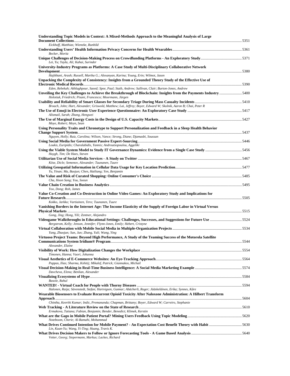| Understanding Topic Models in Context: A Mixed-Methods Approach to the Meaningful Analysis of Large                                                                                           |  |
|-----------------------------------------------------------------------------------------------------------------------------------------------------------------------------------------------|--|
| Eickhoff, Matthias; Wieneke, Runhild                                                                                                                                                          |  |
| Becker, Moritz                                                                                                                                                                                |  |
| Lei, Yu; Yayla, Ali; Kahai, Surinder                                                                                                                                                          |  |
| University-Industry Programs as Platforms: A Case Study of Multi-Disciplinary Collaborative Network                                                                                           |  |
| Hajikhani, Arash; Russell, Martha G.; Alexanyan, Karina; Young, Erin; Wilmot, Jason<br>Unpacking the Complexity of Consistency: Insights from a Grounded Theory Study of the Effective Use of |  |
| Eden, Rebekah; Akhlaghpour, Saeed; Spee, Paul; Staib, Andrew; Sullivan, Clair; Burton-Jones, Andrew                                                                                           |  |
| Unveiling the Key Challenges to Achieve the Breakthrough of Blockchain: Insights from the Payments Industry 5400<br>Holotiuk, Friedrich; Pisani, Francesco; Moormann, Jürgen                  |  |
| Broach, John; Hart, Alexander; Griswold, Matthew; Lai, Jeffrey; Boyer, Edward W; Skolnik, Aaron B; Chai, Peter R                                                                              |  |
| Alismail, Sarah; Zhang, Hengwei                                                                                                                                                               |  |
|                                                                                                                                                                                               |  |
| Moye, Robert; Meyn, Sean<br>Using Personality Traits and Chronotype to Support Personalization and Feedback in a Sleep Health Behavior                                                        |  |
| Nguyen, Holly; Ruiz, Carolina; Wilson, Vance; Strong, Diane; Djamasbi, Soussan                                                                                                                |  |
| Loukis, Euripidis; Charalabidis, Yannis; Androutsopoulou, Aggeliki                                                                                                                            |  |
|                                                                                                                                                                                               |  |
| Huygh, Tim; De Haes, Steven                                                                                                                                                                   |  |
| Köse, Dicle; Semenov, Alexander; Tuunanen, Tuure                                                                                                                                              |  |
| Yu, Yinan; Ma, Baojun; Chen, Hailiang; Yen, Benjamin                                                                                                                                          |  |
| Cha, Hoon Sang; You, Soeun                                                                                                                                                                    |  |
| Yoo, Dong; Roh, James                                                                                                                                                                         |  |
| Value Co-Creation and Co-Destruction in Online Video Games: An Exploratory Study and Implications for                                                                                         |  |
| Kokko, Jarkko; Vartiainen, Tero; Tuunanen, Tuure<br>Vanishing Borders in the Internet Age: The Income Elasticity of the Supply of Foreign Labor in Virtual Versus                             |  |
| Gong, Jing; Hong, Yili; Zentner, Alejandro                                                                                                                                                    |  |
| Videogame Walkthroughs in Educational Settings: Challenges, Successes, and Suggestions for Future Use 5524                                                                                    |  |
| Bergstrom, Kelly; Jenson, Jennifer; Flynn-Jones, Emily; Hebert, Cristyne                                                                                                                      |  |
| Yang, Zhaojun; Sun, Jun; Zhang, Yali; Wang, Ying<br>Virtuoso Project Teams: Beyond High Performance, A Study of the Teaming Success of the Motorola Satellite                                 |  |
|                                                                                                                                                                                               |  |
| Alexander, Elaine                                                                                                                                                                             |  |
| Timonen, Hanna; Vuori, Johanna                                                                                                                                                                |  |
| Pappas, Ilias; Sharma, Kshitij; Mikalef, Patrick; Giannakos, Michail                                                                                                                          |  |
| Davcheva, Elena; Benlian, Alexander                                                                                                                                                           |  |
| Basole, Rahul                                                                                                                                                                                 |  |
| Halonen, Raija; Sävenstedt, Stefan; Hartvigsen, Gunnar; Abächerli, Roger; Jääskeläinen, Erika; Synnes, Kåre                                                                                   |  |
| Wearable Biosensors to Evaluate Recurrent Opioid Toxicity After Naloxone Administration: A Hilbert Transform                                                                                  |  |
| Chintha, Keerthi Kumar; Indic, Premananda; Chapman, Brittany; Boyer, Edward W; Carreiro, Stephanie                                                                                            |  |
| Ermakova, Tatiana; Fabian, Benjamin; Bender, Benedict; Klimek, Kerstin                                                                                                                        |  |
|                                                                                                                                                                                               |  |
| Noteboom, Cherie; Al-Ramahi, Mohammad<br>What Drives Continued Intention for Mobile Payment? - An Expectation Cost Benefit Theory with Habit 5630                                             |  |
| Lin, Kuan-Yu; Wang, Yi-Ting; Huang, Travis K.<br>Vetter, Georg; Siepermann, Markus; Lackes, Richard                                                                                           |  |
|                                                                                                                                                                                               |  |